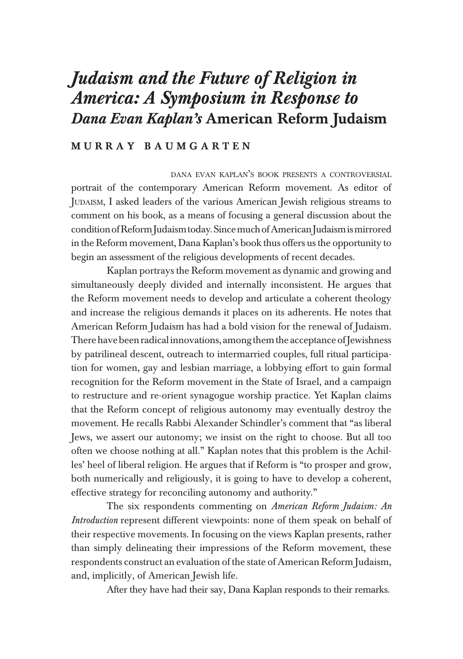# *Judaism and the Future of Religion in America: A Symposium in Response to Dana Evan Kaplan's* American Reform Judaism

### M U R R A Y B A U M G A R T E N

DANA EVAN KAPLAN'S BOOK PRESENTS <sup>A</sup> CONTROVERSIAL portrait of the contemporary American Reform movement. As editor of JUDAISM, I asked leaders of the various American Jewish religious streams to comment on his book, as a means of focusing a general discussion about the condition of Reform Judaism today. Since much of American Judaism is mirrored in the Reform movement, Dana Kaplan's book thus offers us the opportunity to begin an assessment of the religious developments of recent decades.

Kaplan portrays the Reform movement as dynamic and growing and simultaneously deeply divided and internally inconsistent. He argues that the Reform movement needs to develop and articulate a coherent theology and increase the religious demands it places on its adherents. He notes that American Reform Judaism has had a bold vision for the renewal of Judaism. There have been radical innovations, among them the acceptance of Jewishness by patrilineal descent, outreach to intermarried couples, full ritual participation for women, gay and lesbian marriage, a lobbying effort to gain formal recognition for the Reform movement in the State of Israel, and a campaign to restructure and re-orient synagogue worship practice. Yet Kaplan claims that the Reform concept of religious autonomy may eventually destroy the movement. He recalls Rabbi Alexander Schindler's comment that "as liberal Jews, we assert our autonomy; we insist on the right to choose. But all too often we choose nothing at all." Kaplan notes that this problem is the Achilles' heel of liberal religion. He argues that if Reform is "to prosper and grow, both numerically and religiously, it is going to have to develop a coherent, effective strategy for reconciling autonomy and authority."

The six respondents commenting on *American Reform Judaism: An Introduction* represent different viewpoints: none of them speak on behalf of their respective movements. In focusing on the views Kaplan presents, rather than simply delineating their impressions of the Reform movement, these respondents construct an evaluation of the state of American Reform Judaism, and, implicitly, of American Jewish life.

After they have had their say, Dana Kaplan responds to their remarks.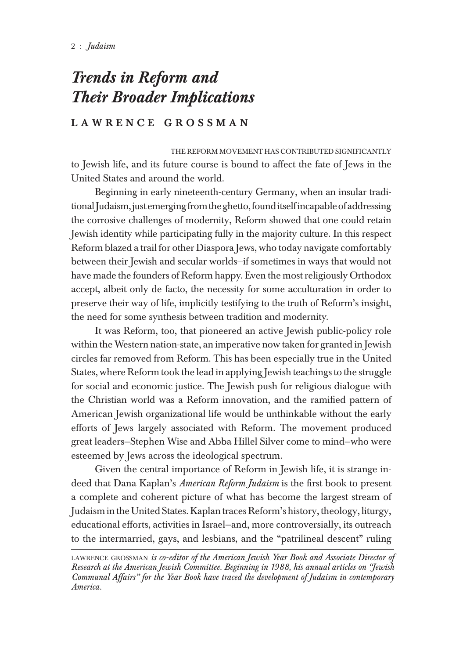# *Trends in Reform and Their Broader Implications*

## LAWRENCE GROSSMAN

THE REFORM MOVEMENT HAS CONTRIBUTED SIGNIFICANTLY to Jewish life, and its future course is bound to affect the fate of Jews in the United States and around the world.

Beginning in early nineteenth-century Germany, when an insular traditional Judaism, just emerging from the ghetto, found itself incapable of addressing the corrosive challenges of modernity, Reform showed that one could retain Jewish identity while participating fully in the majority culture. In this respect Reform blazed a trail for other Diaspora Jews, who today navigate comfortably between their Jewish and secular worlds—if sometimes in ways that would not have made the founders of Reform happy. Even the most religiously Orthodox accept, albeit only de facto, the necessity for some acculturation in order to preserve their way of life, implicitly testifying to the truth of Reform's insight, the need for some synthesis between tradition and modernity.

It was Reform, too, that pioneered an active Jewish public-policy role within the Western nation-state, an imperative now taken for granted in Jewish circles far removed from Reform. This has been especially true in the United States, where Reform took the lead in applying Jewish teachings to the struggle for social and economic justice. The Jewish push for religious dialogue with the Christian world was a Reform innovation, and the ramified pattern of American Jewish organizational life would be unthinkable without the early efforts of Jews largely associated with Reform. The movement produced great leaders—Stephen Wise and Abba Hillel Silver come to mind—who were esteemed by Jews across the ideological spectrum.

Given the central importance of Reform in Jewish life, it is strange indeed that Dana Kaplan's *American Reform Judaism* is the first book to present a complete and coherent picture of what has become the largest stream of Judaism in the United States. Kaplan traces Reform's history, theology, liturgy, educational efforts, activities in Israel—and, more controversially, its outreach to the intermarried, gays, and lesbians, and the "patrilineal descent" ruling

LAWRENCE GROSSMAN *is co-editor of the American Jewish Year Book and Associate Director of Research at the American Jewish Committee. Beginning in 1988, his annual articles on "Jewish Communal Affairs" for the Year Book have traced the development of Judaism in contemporary America.*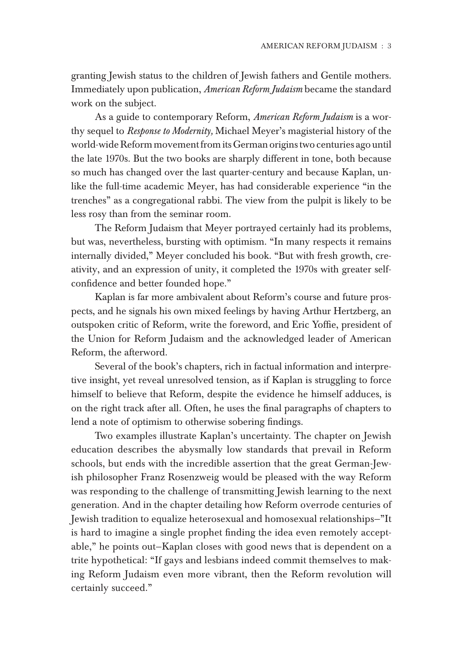granting Jewish status to the children of Jewish fathers and Gentile mothers. Immediately upon publication, *American Reform Judaism* became the standard work on the subject.

As a guide to contemporary Reform, *American Reform Judaism* is a worthy sequel to *Response to Modernity,* Michael Meyer's magisterial history of the world-wide Reform movement from its German origins two centuries ago until the late 1970s. But the two books are sharply different in tone, both because so much has changed over the last quarter-century and because Kaplan, unlike the full-time academic Meyer, has had considerable experience "in the trenches" as a congregational rabbi. The view from the pulpit is likely to be less rosy than from the seminar room.

The Reform Judaism that Meyer portrayed certainly had its problems, but was, nevertheless, bursting with optimism. "In many respects it remains internally divided," Meyer concluded his book. "But with fresh growth, creativity, and an expression of unity, it completed the 1970s with greater selfconfidence and better founded hope."

Kaplan is far more ambivalent about Reform's course and future prospects, and he signals his own mixed feelings by having Arthur Hertzberg, an outspoken critic of Reform, write the foreword, and Eric Yoffie, president of the Union for Reform Judaism and the acknowledged leader of American Reform, the afterword.

Several of the book's chapters, rich in factual information and interpretive insight, yet reveal unresolved tension, as if Kaplan is struggling to force himself to believe that Reform, despite the evidence he himself adduces, is on the right track after all. Often, he uses the final paragraphs of chapters to lend a note of optimism to otherwise sobering findings.

Two examples illustrate Kaplan's uncertainty. The chapter on Jewish education describes the abysmally low standards that prevail in Reform schools, but ends with the incredible assertion that the great German-Jewish philosopher Franz Rosenzweig would be pleased with the way Reform was responding to the challenge of transmitting Jewish learning to the next generation. And in the chapter detailing how Reform overrode centuries of Jewish tradition to equalize heterosexual and homosexual relationships—"It is hard to imagine a single prophet finding the idea even remotely acceptable," he points out—Kaplan closes with good news that is dependent on a trite hypothetical: "If gays and lesbians indeed commit themselves to making Reform Judaism even more vibrant, then the Reform revolution will certainly succeed."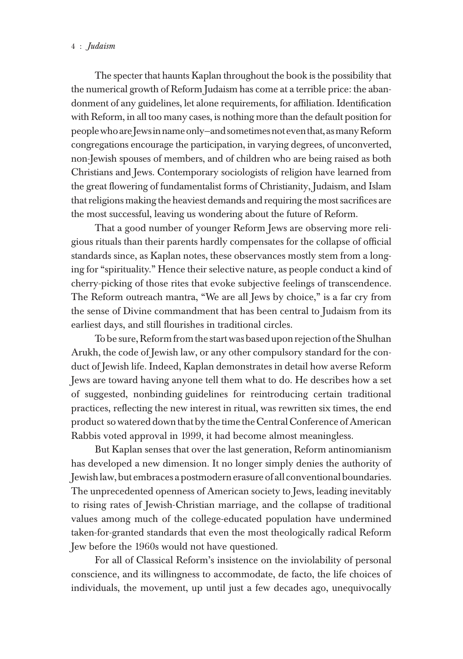#### 4 : *Judaism* AMERICAN REFORM JUDAISM : 5

The specter that haunts Kaplan throughout the book is the possibility that the numerical growth of Reform Judaism has come at a terrible price: the abandonment of any guidelines, let alone requirements, for affiliation. Identification with Reform, in all too many cases, is nothing more than the default position for people who are Jews in name only—and sometimes not even that, as many Reform congregations encourage the participation, in varying degrees, of unconverted, non-Jewish spouses of members, and of children who are being raised as both Christians and Jews. Contemporary sociologists of religion have learned from the great flowering of fundamentalist forms of Christianity, Judaism, and Islam that religions making the heaviest demands and requiring the most sacrifices are the most successful, leaving us wondering about the future of Reform.

That a good number of younger Reform Jews are observing more religious rituals than their parents hardly compensates for the collapse of official standards since, as Kaplan notes, these observances mostly stem from a longing for "spirituality." Hence their selective nature, as people conduct a kind of cherry-picking of those rites that evoke subjective feelings of transcendence. The Reform outreach mantra, "We are all Jews by choice," is a far cry from the sense of Divine commandment that has been central to Judaism from its earliest days, and still flourishes in traditional circles.

To be sure, Reform from the start was based upon rejection of the Shulhan Arukh, the code of Jewish law, or any other compulsory standard for the conduct of Jewish life. Indeed, Kaplan demonstrates in detail how averse Reform Jews are toward having anyone tell them what to do. He describes how a set of suggested, nonbinding guidelines for reintroducing certain traditional practices, reflecting the new interest in ritual, was rewritten six times, the end product so watered down that by the time the Central Conference of American Rabbis voted approval in 1999, it had become almost meaningless.

But Kaplan senses that over the last generation, Reform antinomianism has developed a new dimension. It no longer simply denies the authority of Jewish law, but embraces a postmodern erasure of all conventional boundaries. The unprecedented openness of American society to Jews, leading inevitably to rising rates of Jewish-Christian marriage, and the collapse of traditional values among much of the college-educated population have undermined taken-for-granted standards that even the most theologically radical Reform Jew before the 1960s would not have questioned.

For all of Classical Reform's insistence on the inviolability of personal conscience, and its willingness to accommodate, de facto, the life choices of individuals, the movement, up until just a few decades ago, unequivocally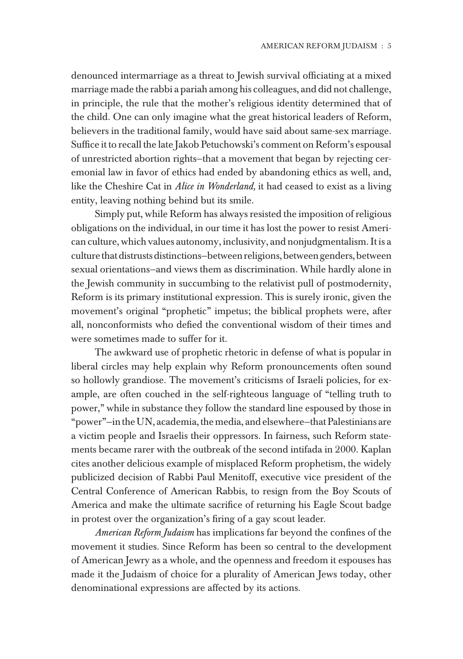denounced intermarriage as a threat to Jewish survival officiating at a mixed marriage made the rabbi a pariah among his colleagues, and did not challenge, in principle, the rule that the mother's religious identity determined that of the child. One can only imagine what the great historical leaders of Reform, believers in the traditional family, would have said about same-sex marriage. Suffice it to recall the late Jakob Petuchowski's comment on Reform's espousal of unrestricted abortion rights—that a movement that began by rejecting ceremonial law in favor of ethics had ended by abandoning ethics as well, and, like the Cheshire Cat in *Alice in Wonderland,* it had ceased to exist as a living entity, leaving nothing behind but its smile.

Simply put, while Reform has always resisted the imposition of religious obligations on the individual, in our time it has lost the power to resist American culture, which values autonomy, inclusivity, and nonjudgmentalism. It is a culture that distrusts distinctions—between religions, between genders, between sexual orientations—and views them as discrimination. While hardly alone in the Jewish community in succumbing to the relativist pull of postmodernity, Reform is its primary institutional expression. This is surely ironic, given the movement's original "prophetic" impetus; the biblical prophets were, after all, nonconformists who defied the conventional wisdom of their times and were sometimes made to suffer for it.

The awkward use of prophetic rhetoric in defense of what is popular in liberal circles may help explain why Reform pronouncements often sound so hollowly grandiose. The movement's criticisms of Israeli policies, for example, are often couched in the self-righteous language of "telling truth to power," while in substance they follow the standard line espoused by those in "power"—in the UN, academia, the media, and elsewhere—that Palestinians are a victim people and Israelis their oppressors. In fairness, such Reform statements became rarer with the outbreak of the second intifada in 2000. Kaplan cites another delicious example of misplaced Reform prophetism, the widely publicized decision of Rabbi Paul Menitoff, executive vice president of the Central Conference of American Rabbis, to resign from the Boy Scouts of America and make the ultimate sacrifice of returning his Eagle Scout badge in protest over the organization's firing of a gay scout leader.

*American Reform Judaism* has implications far beyond the confines of the movement it studies. Since Reform has been so central to the development of American Jewry as a whole, and the openness and freedom it espouses has made it the Judaism of choice for a plurality of American Jews today, other denominational expressions are affected by its actions.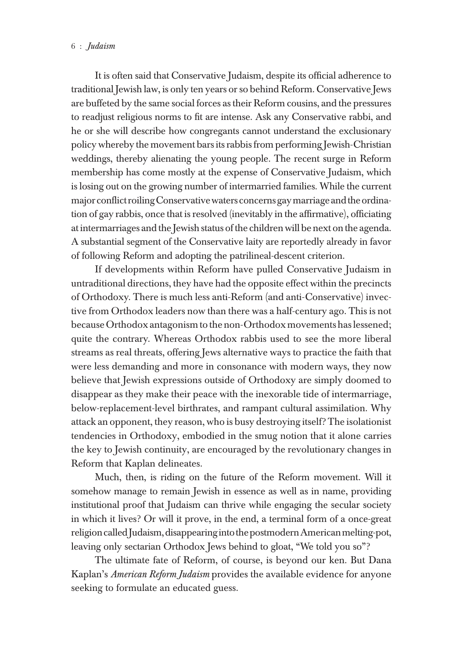It is often said that Conservative Judaism, despite its official adherence to traditional Jewish law, is only ten years or so behind Reform. Conservative Jews are buffeted by the same social forces as their Reform cousins, and the pressures to readjust religious norms to fit are intense. Ask any Conservative rabbi, and he or she will describe how congregants cannot understand the exclusionary policy whereby the movement bars its rabbis from performing Jewish-Christian weddings, thereby alienating the young people. The recent surge in Reform membership has come mostly at the expense of Conservative Judaism, which is losing out on the growing number of intermarried families. While the current major conflict roiling Conservative waters concerns gay marriage and the ordination of gay rabbis, once that is resolved (inevitably in the affirmative), officiating at intermarriages and the Jewish status of the children will be next on the agenda. A substantial segment of the Conservative laity are reportedly already in favor of following Reform and adopting the patrilineal-descent criterion.

If developments within Reform have pulled Conservative Judaism in untraditional directions, they have had the opposite effect within the precincts of Orthodoxy. There is much less anti-Reform (and anti-Conservative) invective from Orthodox leaders now than there was a half-century ago. This is not because Orthodox antagonism to the non-Orthodox movements has lessened; quite the contrary. Whereas Orthodox rabbis used to see the more liberal streams as real threats, offering Jews alternative ways to practice the faith that were less demanding and more in consonance with modern ways, they now believe that Jewish expressions outside of Orthodoxy are simply doomed to disappear as they make their peace with the inexorable tide of intermarriage, below-replacement-level birthrates, and rampant cultural assimilation. Why attack an opponent, they reason, who is busy destroying itself? The isolationist tendencies in Orthodoxy, embodied in the smug notion that it alone carries the key to Jewish continuity, are encouraged by the revolutionary changes in Reform that Kaplan delineates.

Much, then, is riding on the future of the Reform movement. Will it somehow manage to remain Jewish in essence as well as in name, providing institutional proof that Judaism can thrive while engaging the secular society in which it lives? Or will it prove, in the end, a terminal form of a once-great religion called Judaism, disappearing into the postmodern American melting-pot, leaving only sectarian Orthodox Jews behind to gloat, "We told you so"?

The ultimate fate of Reform, of course, is beyond our ken. But Dana Kaplan's *American Reform Judaism* provides the available evidence for anyone seeking to formulate an educated guess.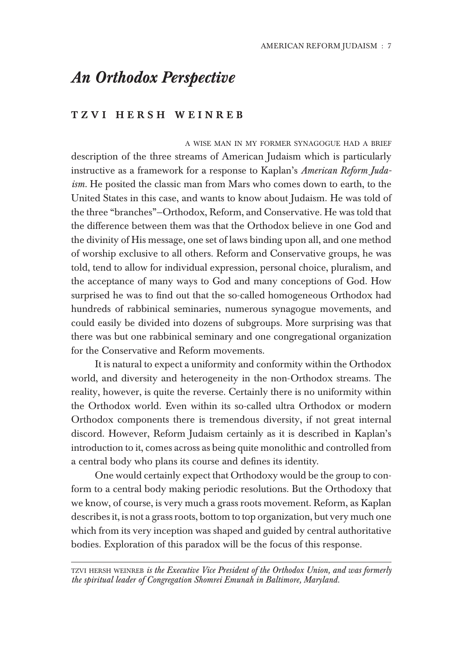## *An Orthodox Perspective*

### TZVI HERSH WEINREB

A WISE MAN IN MY FORMER SYNAGOGUE HAD A BRIEF description of the three streams of American Judaism which is particularly instructive as a framework for a response to Kaplan's *American Reform Judaism.* He posited the classic man from Mars who comes down to earth, to the United States in this case, and wants to know about Judaism. He was told of the three "branches"—Orthodox, Reform, and Conservative. He was told that the difference between them was that the Orthodox believe in one God and the divinity of His message, one set of laws binding upon all, and one method of worship exclusive to all others. Reform and Conservative groups, he was told, tend to allow for individual expression, personal choice, pluralism, and the acceptance of many ways to God and many conceptions of God. How surprised he was to find out that the so-called homogeneous Orthodox had hundreds of rabbinical seminaries, numerous synagogue movements, and could easily be divided into dozens of subgroups. More surprising was that there was but one rabbinical seminary and one congregational organization for the Conservative and Reform movements.

It is natural to expect a uniformity and conformity within the Orthodox world, and diversity and heterogeneity in the non-Orthodox streams. The reality, however, is quite the reverse. Certainly there is no uniformity within the Orthodox world. Even within its so-called ultra Orthodox or modern Orthodox components there is tremendous diversity, if not great internal discord. However, Reform Judaism certainly as it is described in Kaplan's introduction to it, comes across as being quite monolithic and controlled from a central body who plans its course and defines its identity.

One would certainly expect that Orthodoxy would be the group to conform to a central body making periodic resolutions. But the Orthodoxy that we know, of course, is very much a grass roots movement. Reform, as Kaplan describes it, is not a grass roots, bottom to top organization, but very much one which from its very inception was shaped and guided by central authoritative bodies. Exploration of this paradox will be the focus of this response.

TZVI HERSH WEINREB *is the Executive Vice President of the Orthodox Union, and was formerly the spiritual leader of Congregation Shomrei Emunah in Baltimore, Maryland.*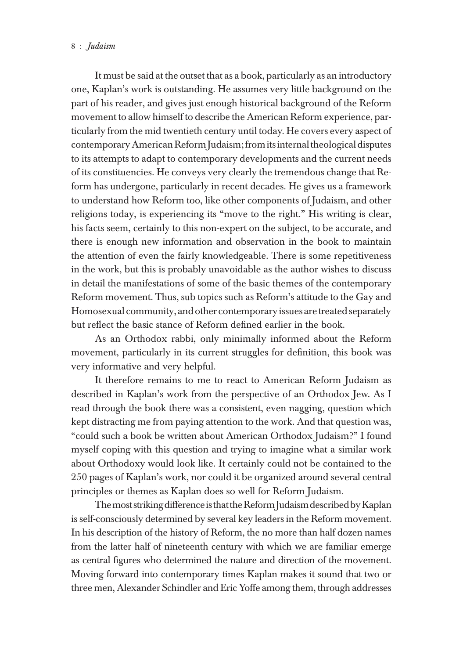#### 8 : *Judaism* American Reformation of the state of the state of the state of the state of the state of the state of the state of the state of the state of the state of the state of the state of the state of the state of th

It must be said at the outset that as a book, particularly as an introductory one, Kaplan's work is outstanding. He assumes very little background on the part of his reader, and gives just enough historical background of the Reform movement to allow himself to describe the American Reform experience, particularly from the mid twentieth century until today. He covers every aspect of contemporary American Reform Judaism; from its internal theological disputes to its attempts to adapt to contemporary developments and the current needs of its constituencies. He conveys very clearly the tremendous change that Reform has undergone, particularly in recent decades. He gives us a framework to understand how Reform too, like other components of Judaism, and other religions today, is experiencing its "move to the right." His writing is clear, his facts seem, certainly to this non-expert on the subject, to be accurate, and there is enough new information and observation in the book to maintain the attention of even the fairly knowledgeable. There is some repetitiveness in the work, but this is probably unavoidable as the author wishes to discuss in detail the manifestations of some of the basic themes of the contemporary Reform movement. Thus, sub topics such as Reform's attitude to the Gay and Homosexual community, and other contemporary issues are treated separately but reflect the basic stance of Reform defined earlier in the book.

As an Orthodox rabbi, only minimally informed about the Reform movement, particularly in its current struggles for definition, this book was very informative and very helpful.

It therefore remains to me to react to American Reform Judaism as described in Kaplan's work from the perspective of an Orthodox Jew. As I read through the book there was a consistent, even nagging, question which kept distracting me from paying attention to the work. And that question was, "could such a book be written about American Orthodox Judaism?" I found myself coping with this question and trying to imagine what a similar work about Orthodoxy would look like. It certainly could not be contained to the 250 pages of Kaplan's work, nor could it be organized around several central principles or themes as Kaplan does so well for Reform Judaism.

The most striking difference is that the Reform Judaism described by Kaplan is self-consciously determined by several key leaders in the Reform movement. In his description of the history of Reform, the no more than half dozen names from the latter half of nineteenth century with which we are familiar emerge as central figures who determined the nature and direction of the movement. Moving forward into contemporary times Kaplan makes it sound that two or three men, Alexander Schindler and Eric Yoffe among them, through addresses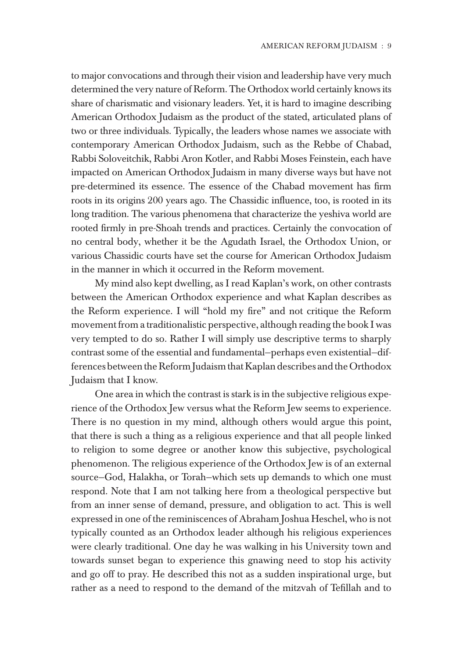to major convocations and through their vision and leadership have very much determined the very nature of Reform. The Orthodox world certainly knows its share of charismatic and visionary leaders. Yet, it is hard to imagine describing American Orthodox Judaism as the product of the stated, articulated plans of two or three individuals. Typically, the leaders whose names we associate with contemporary American Orthodox Judaism, such as the Rebbe of Chabad, Rabbi Soloveitchik, Rabbi Aron Kotler, and Rabbi Moses Feinstein, each have impacted on American Orthodox Judaism in many diverse ways but have not pre-determined its essence. The essence of the Chabad movement has firm roots in its origins 200 years ago. The Chassidic influence, too, is rooted in its long tradition. The various phenomena that characterize the yeshiva world are rooted firmly in pre-Shoah trends and practices. Certainly the convocation of no central body, whether it be the Agudath Israel, the Orthodox Union, or various Chassidic courts have set the course for American Orthodox Judaism in the manner in which it occurred in the Reform movement.

My mind also kept dwelling, as I read Kaplan's work, on other contrasts between the American Orthodox experience and what Kaplan describes as the Reform experience. I will "hold my fire" and not critique the Reform movement from a traditionalistic perspective, although reading the book I was very tempted to do so. Rather I will simply use descriptive terms to sharply contrast some of the essential and fundamental—perhaps even existential—differences between the Reform Judaism that Kaplan describes and the Orthodox Judaism that I know.

One area in which the contrast is stark is in the subjective religious experience of the Orthodox Jew versus what the Reform Jew seems to experience. There is no question in my mind, although others would argue this point, that there is such a thing as a religious experience and that all people linked to religion to some degree or another know this subjective, psychological phenomenon. The religious experience of the Orthodox Jew is of an external source—God, Halakha, or Torah—which sets up demands to which one must respond. Note that I am not talking here from a theological perspective but from an inner sense of demand, pressure, and obligation to act. This is well expressed in one of the reminiscences of Abraham Joshua Heschel, who is not typically counted as an Orthodox leader although his religious experiences were clearly traditional. One day he was walking in his University town and towards sunset began to experience this gnawing need to stop his activity and go off to pray. He described this not as a sudden inspirational urge, but rather as a need to respond to the demand of the mitzvah of Tefillah and to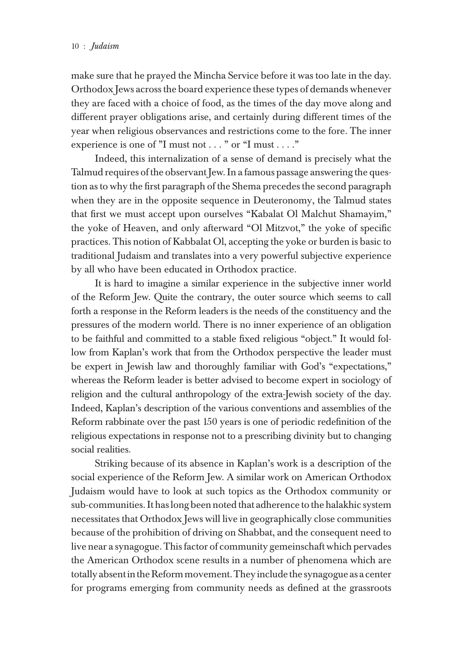make sure that he prayed the Mincha Service before it was too late in the day. Orthodox Jews across the board experience these types of demands whenever they are faced with a choice of food, as the times of the day move along and different prayer obligations arise, and certainly during different times of the year when religious observances and restrictions come to the fore. The inner experience is one of "I must not . . . " or "I must . . . ."

Indeed, this internalization of a sense of demand is precisely what the Talmud requires of the observant Jew. In a famous passage answering the question as to why the first paragraph of the Shema precedes the second paragraph when they are in the opposite sequence in Deuteronomy, the Talmud states that first we must accept upon ourselves "Kabalat Ol Malchut Shamayim," the yoke of Heaven, and only afterward "Ol Mitzvot," the yoke of specific practices. This notion of Kabbalat Ol, accepting the yoke or burden is basic to traditional Judaism and translates into a very powerful subjective experience by all who have been educated in Orthodox practice.

It is hard to imagine a similar experience in the subjective inner world of the Reform Jew. Quite the contrary, the outer source which seems to call forth a response in the Reform leaders is the needs of the constituency and the pressures of the modern world. There is no inner experience of an obligation to be faithful and committed to a stable fixed religious "object." It would follow from Kaplan's work that from the Orthodox perspective the leader must be expert in Jewish law and thoroughly familiar with God's "expectations," whereas the Reform leader is better advised to become expert in sociology of religion and the cultural anthropology of the extra-Jewish society of the day. Indeed, Kaplan's description of the various conventions and assemblies of the Reform rabbinate over the past 150 years is one of periodic redefinition of the religious expectations in response not to a prescribing divinity but to changing social realities.

Striking because of its absence in Kaplan's work is a description of the social experience of the Reform Jew. A similar work on American Orthodox Judaism would have to look at such topics as the Orthodox community or sub-communities. It has long been noted that adherence to the halakhic system necessitates that Orthodox Jews will live in geographically close communities because of the prohibition of driving on Shabbat, and the consequent need to live near a synagogue. This factor of community gemeinschaft which pervades the American Orthodox scene results in a number of phenomena which are totally absent in the Reform movement. They include the synagogue as a center for programs emerging from community needs as defined at the grassroots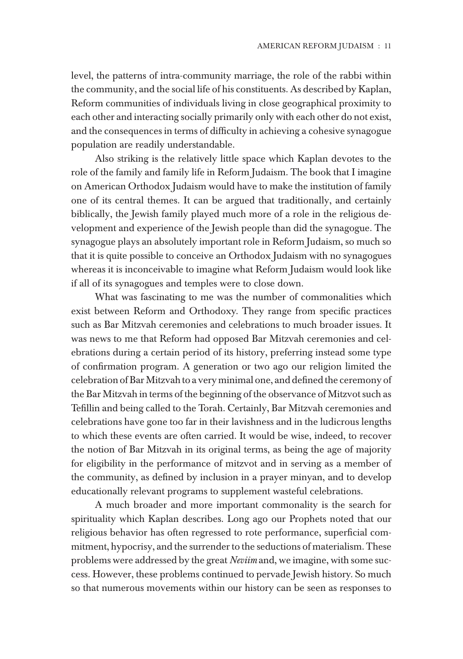level, the patterns of intra-community marriage, the role of the rabbi within the community, and the social life of his constituents. As described by Kaplan, Reform communities of individuals living in close geographical proximity to each other and interacting socially primarily only with each other do not exist, and the consequences in terms of difficulty in achieving a cohesive synagogue population are readily understandable.

Also striking is the relatively little space which Kaplan devotes to the role of the family and family life in Reform Judaism. The book that I imagine on American Orthodox Judaism would have to make the institution of family one of its central themes. It can be argued that traditionally, and certainly biblically, the Jewish family played much more of a role in the religious development and experience of the Jewish people than did the synagogue. The synagogue plays an absolutely important role in Reform Judaism, so much so that it is quite possible to conceive an Orthodox Judaism with no synagogues whereas it is inconceivable to imagine what Reform Judaism would look like if all of its synagogues and temples were to close down.

What was fascinating to me was the number of commonalities which exist between Reform and Orthodoxy. They range from specific practices such as Bar Mitzvah ceremonies and celebrations to much broader issues. It was news to me that Reform had opposed Bar Mitzvah ceremonies and celebrations during a certain period of its history, preferring instead some type of confirmation program. A generation or two ago our religion limited the celebration of Bar Mitzvah to a very minimal one, and defined the ceremony of the Bar Mitzvah in terms of the beginning of the observance of Mitzvot such as Tefillin and being called to the Torah. Certainly, Bar Mitzvah ceremonies and celebrations have gone too far in their lavishness and in the ludicrous lengths to which these events are often carried. It would be wise, indeed, to recover the notion of Bar Mitzvah in its original terms, as being the age of majority for eligibility in the performance of mitzvot and in serving as a member of the community, as defined by inclusion in a prayer minyan, and to develop educationally relevant programs to supplement wasteful celebrations.

A much broader and more important commonality is the search for spirituality which Kaplan describes. Long ago our Prophets noted that our religious behavior has often regressed to rote performance, superficial commitment, hypocrisy, and the surrender to the seductions of materialism. These problems were addressed by the great *Neviim* and, we imagine, with some success. However, these problems continued to pervade Jewish history. So much so that numerous movements within our history can be seen as responses to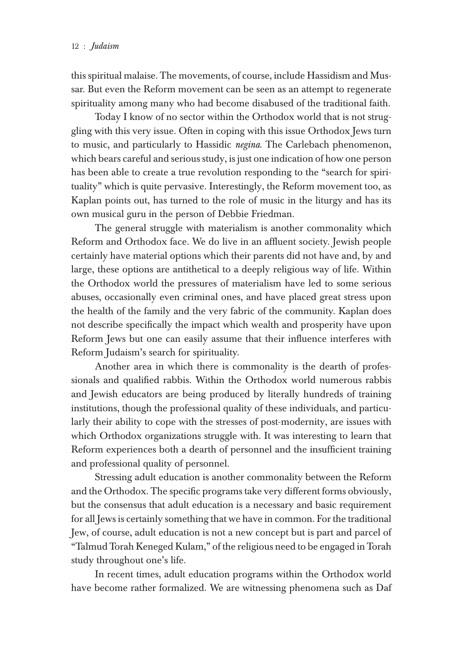this spiritual malaise. The movements, of course, include Hassidism and Mussar. But even the Reform movement can be seen as an attempt to regenerate spirituality among many who had become disabused of the traditional faith.

Today I know of no sector within the Orthodox world that is not struggling with this very issue. Often in coping with this issue Orthodox Jews turn to music, and particularly to Hassidic *negina*. The Carlebach phenomenon, which bears careful and serious study, is just one indication of how one person has been able to create a true revolution responding to the "search for spirituality" which is quite pervasive. Interestingly, the Reform movement too, as Kaplan points out, has turned to the role of music in the liturgy and has its own musical guru in the person of Debbie Friedman.

The general struggle with materialism is another commonality which Reform and Orthodox face. We do live in an affluent society. Jewish people certainly have material options which their parents did not have and, by and large, these options are antithetical to a deeply religious way of life. Within the Orthodox world the pressures of materialism have led to some serious abuses, occasionally even criminal ones, and have placed great stress upon the health of the family and the very fabric of the community. Kaplan does not describe specifically the impact which wealth and prosperity have upon Reform Jews but one can easily assume that their influence interferes with Reform Judaism's search for spirituality.

Another area in which there is commonality is the dearth of professionals and qualified rabbis. Within the Orthodox world numerous rabbis and Jewish educators are being produced by literally hundreds of training institutions, though the professional quality of these individuals, and particularly their ability to cope with the stresses of post-modernity, are issues with which Orthodox organizations struggle with. It was interesting to learn that Reform experiences both a dearth of personnel and the insufficient training and professional quality of personnel.

Stressing adult education is another commonality between the Reform and the Orthodox. The specific programs take very different forms obviously, but the consensus that adult education is a necessary and basic requirement for all Jews is certainly something that we have in common. For the traditional Jew, of course, adult education is not a new concept but is part and parcel of "Talmud Torah Keneged Kulam," of the religious need to be engaged in Torah study throughout one's life.

In recent times, adult education programs within the Orthodox world have become rather formalized. We are witnessing phenomena such as Daf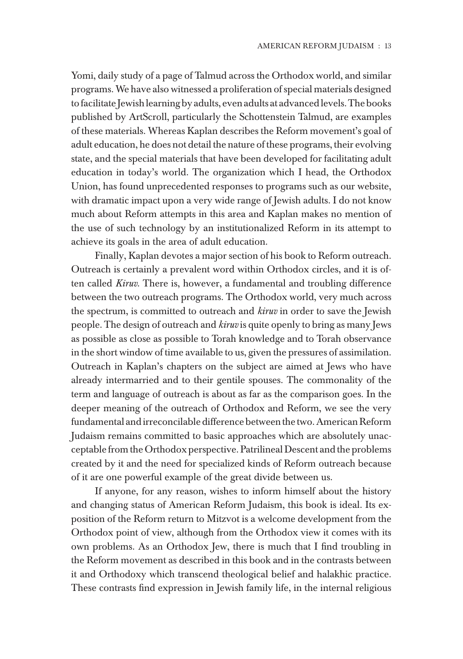Yomi, daily study of a page of Talmud across the Orthodox world, and similar programs. We have also witnessed a proliferation of special materials designed to facilitate Jewish learning by adults, even adults at advanced levels. The books published by ArtScroll, particularly the Schottenstein Talmud, are examples of these materials. Whereas Kaplan describes the Reform movement's goal of adult education, he does not detail the nature of these programs, their evolving state, and the special materials that have been developed for facilitating adult education in today's world. The organization which I head, the Orthodox Union, has found unprecedented responses to programs such as our website, with dramatic impact upon a very wide range of Jewish adults. I do not know much about Reform attempts in this area and Kaplan makes no mention of the use of such technology by an institutionalized Reform in its attempt to achieve its goals in the area of adult education.

Finally, Kaplan devotes a major section of his book to Reform outreach. Outreach is certainly a prevalent word within Orthodox circles, and it is often called *Kiruv*. There is, however, a fundamental and troubling difference between the two outreach programs. The Orthodox world, very much across the spectrum, is committed to outreach and *kiruv* in order to save the Jewish people. The design of outreach and *kiruv* is quite openly to bring as many Jews as possible as close as possible to Torah knowledge and to Torah observance in the short window of time available to us, given the pressures of assimilation. Outreach in Kaplan's chapters on the subject are aimed at Jews who have already intermarried and to their gentile spouses. The commonality of the term and language of outreach is about as far as the comparison goes. In the deeper meaning of the outreach of Orthodox and Reform, we see the very fundamental and irreconcilable difference between the two. American Reform Judaism remains committed to basic approaches which are absolutely unacceptable from the Orthodox perspective. Patrilineal Descent and the problems created by it and the need for specialized kinds of Reform outreach because of it are one powerful example of the great divide between us.

If anyone, for any reason, wishes to inform himself about the history and changing status of American Reform Judaism, this book is ideal. Its exposition of the Reform return to Mitzvot is a welcome development from the Orthodox point of view, although from the Orthodox view it comes with its own problems. As an Orthodox Jew, there is much that I find troubling in the Reform movement as described in this book and in the contrasts between it and Orthodoxy which transcend theological belief and halakhic practice. These contrasts find expression in Jewish family life, in the internal religious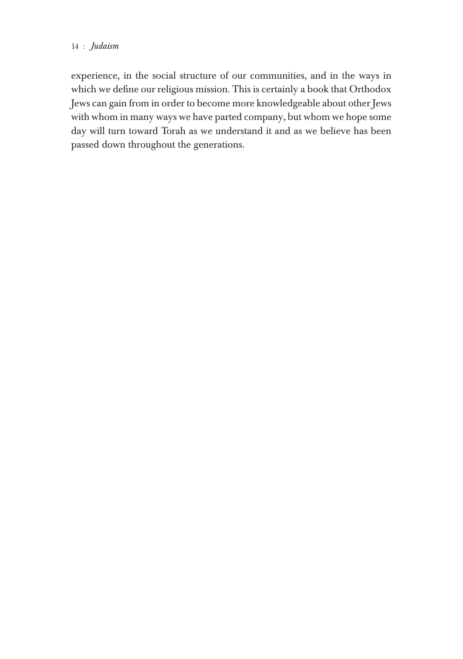### 14 : *Judaism* American Reformation of the state of the state of the state of the state of the state of the state of the state of the state of the state of the state of the state of the state of the state of the state of t

experience, in the social structure of our communities, and in the ways in which we define our religious mission. This is certainly a book that Orthodox Jews can gain from in order to become more knowledgeable about other Jews with whom in many ways we have parted company, but whom we hope some day will turn toward Torah as we understand it and as we believe has been passed down throughout the generations.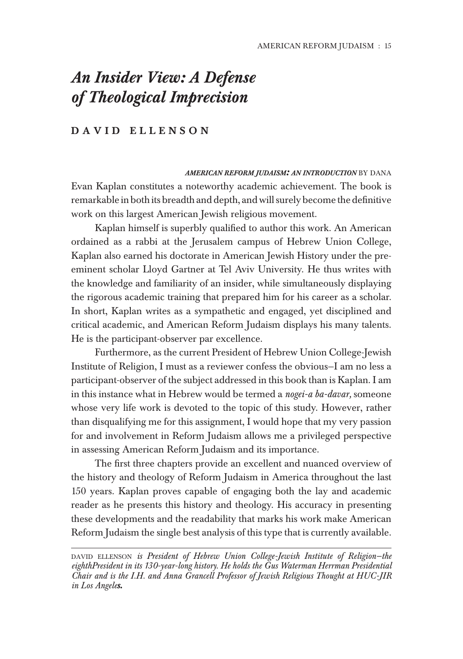## *An Insider View: A Defense of Theological Imprecision*

### DAVID ELLENSON

*AMERICAN REFORM JUDAISM: AN INTRODUCTION* BY DANA Evan Kaplan constitutes a noteworthy academic achievement. The book is remarkable in both its breadth and depth, and will surely become the definitive work on this largest American Jewish religious movement.

Kaplan himself is superbly qualified to author this work. An American ordained as a rabbi at the Jerusalem campus of Hebrew Union College, Kaplan also earned his doctorate in American Jewish History under the preeminent scholar Lloyd Gartner at Tel Aviv University. He thus writes with the knowledge and familiarity of an insider, while simultaneously displaying the rigorous academic training that prepared him for his career as a scholar. In short, Kaplan writes as a sympathetic and engaged, yet disciplined and critical academic, and American Reform Judaism displays his many talents. He is the participant-observer par excellence.

Furthermore, as the current President of Hebrew Union College-Jewish Institute of Religion, I must as a reviewer confess the obvious—I am no less a participant-observer of the subject addressed in this book than is Kaplan. I am in this instance what in Hebrew would be termed a *nogei-a ba-davar,* someone whose very life work is devoted to the topic of this study. However, rather than disqualifying me for this assignment, I would hope that my very passion for and involvement in Reform Judaism allows me a privileged perspective in assessing American Reform Judaism and its importance.

The first three chapters provide an excellent and nuanced overview of the history and theology of Reform Judaism in America throughout the last 150 years. Kaplan proves capable of engaging both the lay and academic reader as he presents this history and theology. His accuracy in presenting these developments and the readability that marks his work make American Reform Judaism the single best analysis of this type that is currently available.

DAVID ELLENSON *is President of Hebrew Union College-Jewish Institute of Religion-the eighthPresident in its 130-year-long history. He holds the Gus Waterman Herrman Presidential Chair and is the I.H. and Anna Grancell Professor of Jewish Religious Thought at HUC-JIR in Los Angeles.*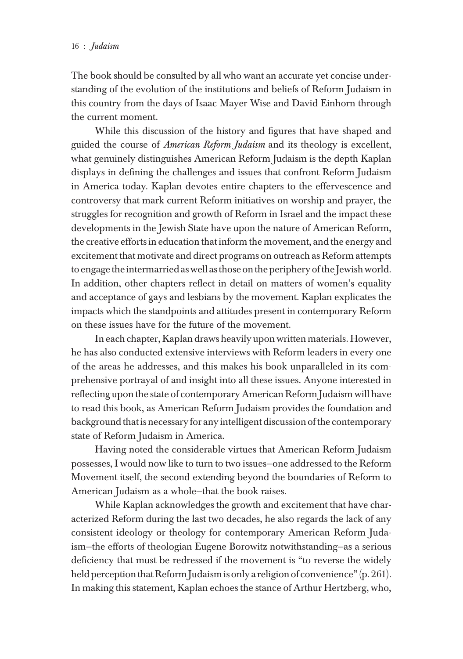The book should be consulted by all who want an accurate yet concise understanding of the evolution of the institutions and beliefs of Reform Judaism in this country from the days of Isaac Mayer Wise and David Einhorn through the current moment.

While this discussion of the history and figures that have shaped and guided the course of *American Reform Judaism* and its theology is excellent, what genuinely distinguishes American Reform Judaism is the depth Kaplan displays in defining the challenges and issues that confront Reform Judaism in America today. Kaplan devotes entire chapters to the effervescence and controversy that mark current Reform initiatives on worship and prayer, the struggles for recognition and growth of Reform in Israel and the impact these developments in the Jewish State have upon the nature of American Reform, the creative efforts in education that inform the movement, and the energy and excitement that motivate and direct programs on outreach as Reform attempts to engage the intermarried as well as those on the periphery of the Jewish world. In addition, other chapters reflect in detail on matters of women's equality and acceptance of gays and lesbians by the movement. Kaplan explicates the impacts which the standpoints and attitudes present in contemporary Reform on these issues have for the future of the movement.

In each chapter, Kaplan draws heavily upon written materials. However, he has also conducted extensive interviews with Reform leaders in every one of the areas he addresses, and this makes his book unparalleled in its comprehensive portrayal of and insight into all these issues. Anyone interested in reflecting upon the state of contemporary American Reform Judaism will have to read this book, as American Reform Judaism provides the foundation and background that is necessary for any intelligent discussion of the contemporary state of Reform Judaism in America.

Having noted the considerable virtues that American Reform Judaism possesses, I would now like to turn to two issues—one addressed to the Reform Movement itself, the second extending beyond the boundaries of Reform to American Judaism as a whole—that the book raises.

While Kaplan acknowledges the growth and excitement that have characterized Reform during the last two decades, he also regards the lack of any consistent ideology or theology for contemporary American Reform Judaism—the efforts of theologian Eugene Borowitz notwithstanding—as a serious deficiency that must be redressed if the movement is "to reverse the widely held perception that Reform Judaism is only a religion of convenience" (p. 261). In making this statement, Kaplan echoes the stance of Arthur Hertzberg, who,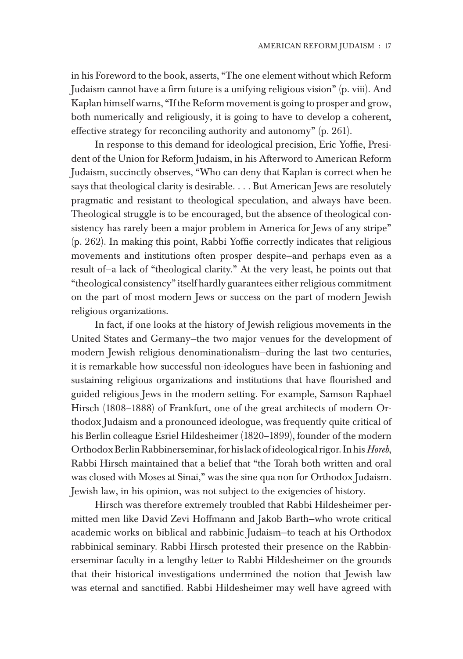in his Foreword to the book, asserts, "The one element without which Reform Judaism cannot have a firm future is a unifying religious vision" (p. viii). And Kaplan himself warns, "If the Reform movement is going to prosper and grow, both numerically and religiously, it is going to have to develop a coherent, effective strategy for reconciling authority and autonomy" (p. 261).

In response to this demand for ideological precision, Eric Yoffie, President of the Union for Reform Judaism, in his Afterword to American Reform Judaism, succinctly observes, "Who can deny that Kaplan is correct when he says that theological clarity is desirable. . . . But American Jews are resolutely pragmatic and resistant to theological speculation, and always have been. Theological struggle is to be encouraged, but the absence of theological consistency has rarely been a major problem in America for Jews of any stripe" (p. 262). In making this point, Rabbi Yoffie correctly indicates that religious movements and institutions often prosper despite—and perhaps even as a result of—a lack of "theological clarity." At the very least, he points out that "theological consistency" itself hardly guarantees either religious commitment on the part of most modern Jews or success on the part of modern Jewish religious organizations.

In fact, if one looks at the history of Jewish religious movements in the United States and Germany—the two major venues for the development of modern Jewish religious denominationalism—during the last two centuries, it is remarkable how successful non-ideologues have been in fashioning and sustaining religious organizations and institutions that have flourished and guided religious Jews in the modern setting. For example, Samson Raphael Hirsch (1808–1888) of Frankfurt, one of the great architects of modern Orthodox Judaism and a pronounced ideologue, was frequently quite critical of his Berlin colleague Esriel Hildesheimer (1820–1899), founder of the modern Orthodox Berlin Rabbinerseminar, for his lack of ideological rigor. In his *Horeb*, Rabbi Hirsch maintained that a belief that "the Torah both written and oral was closed with Moses at Sinai," was the sine qua non for Orthodox Judaism. Jewish law, in his opinion, was not subject to the exigencies of history.

Hirsch was therefore extremely troubled that Rabbi Hildesheimer permitted men like David Zevi Hoffmann and Jakob Barth—who wrote critical academic works on biblical and rabbinic Judaism—to teach at his Orthodox rabbinical seminary. Rabbi Hirsch protested their presence on the Rabbinerseminar faculty in a lengthy letter to Rabbi Hildesheimer on the grounds that their historical investigations undermined the notion that Jewish law was eternal and sanctified. Rabbi Hildesheimer may well have agreed with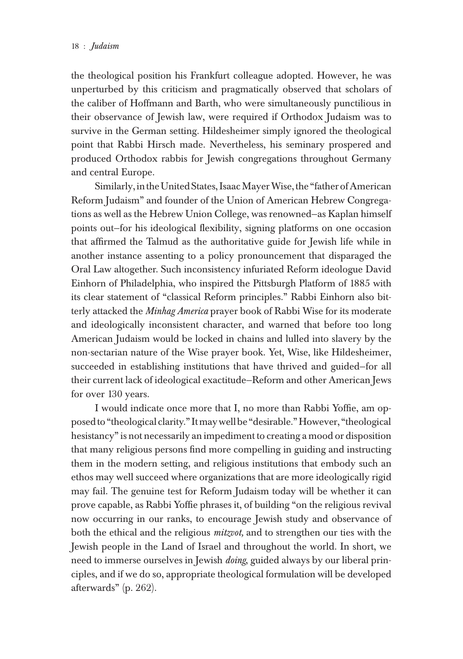the theological position his Frankfurt colleague adopted. However, he was unperturbed by this criticism and pragmatically observed that scholars of the caliber of Hoffmann and Barth, who were simultaneously punctilious in their observance of Jewish law, were required if Orthodox Judaism was to survive in the German setting. Hildesheimer simply ignored the theological point that Rabbi Hirsch made. Nevertheless, his seminary prospered and produced Orthodox rabbis for Jewish congregations throughout Germany and central Europe.

Similarly, in the United States, Isaac Mayer Wise, the "father of American Reform Judaism" and founder of the Union of American Hebrew Congregations as well as the Hebrew Union College, was renowned—as Kaplan himself points out—for his ideological flexibility, signing platforms on one occasion that affirmed the Talmud as the authoritative guide for Jewish life while in another instance assenting to a policy pronouncement that disparaged the Oral Law altogether. Such inconsistency infuriated Reform ideologue David Einhorn of Philadelphia, who inspired the Pittsburgh Platform of 1885 with its clear statement of "classical Reform principles." Rabbi Einhorn also bitterly attacked the *Minhag America* prayer book of Rabbi Wise for its moderate and ideologically inconsistent character, and warned that before too long American Judaism would be locked in chains and lulled into slavery by the non-sectarian nature of the Wise prayer book. Yet, Wise, like Hildesheimer, succeeded in establishing institutions that have thrived and guided—for all their current lack of ideological exactitude—Reform and other American Jews for over 130 years.

I would indicate once more that I, no more than Rabbi Yoffie, am opposed to "theological clarity." It may well be "desirable." However, "theological hesistancy" is not necessarily an impediment to creating a mood or disposition that many religious persons find more compelling in guiding and instructing them in the modern setting, and religious institutions that embody such an ethos may well succeed where organizations that are more ideologically rigid may fail. The genuine test for Reform Judaism today will be whether it can prove capable, as Rabbi Yoffie phrases it, of building "on the religious revival now occurring in our ranks, to encourage Jewish study and observance of both the ethical and the religious *mitzvot,* and to strengthen our ties with the Jewish people in the Land of Israel and throughout the world. In short, we need to immerse ourselves in Jewish *doing*, guided always by our liberal principles, and if we do so, appropriate theological formulation will be developed afterwards" (p. 262).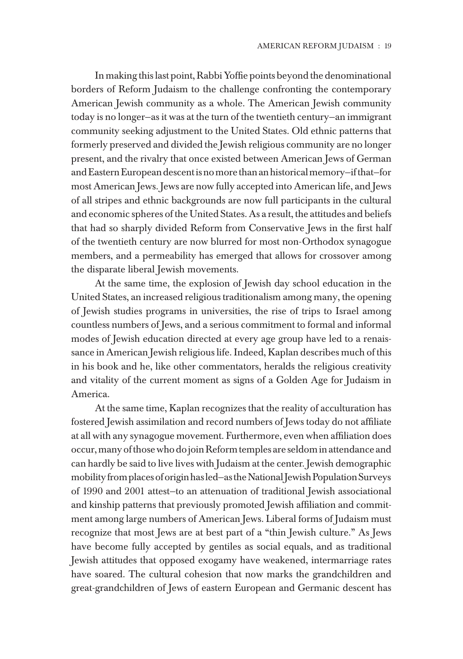In making this last point, Rabbi Yoffie points beyond the denominational borders of Reform Judaism to the challenge confronting the contemporary American Jewish community as a whole. The American Jewish community today is no longer—as it was at the turn of the twentieth century—an immigrant community seeking adjustment to the United States. Old ethnic patterns that formerly preserved and divided the Jewish religious community are no longer present, and the rivalry that once existed between American Jews of German and Eastern European descent is no more than an historical memory—if that—for most American Jews. Jews are now fully accepted into American life, and Jews of all stripes and ethnic backgrounds are now full participants in the cultural and economic spheres of the United States. As a result, the attitudes and beliefs that had so sharply divided Reform from Conservative Jews in the first half of the twentieth century are now blurred for most non-Orthodox synagogue members, and a permeability has emerged that allows for crossover among the disparate liberal Jewish movements.

At the same time, the explosion of Jewish day school education in the United States, an increased religious traditionalism among many, the opening of Jewish studies programs in universities, the rise of trips to Israel among countless numbers of Jews, and a serious commitment to formal and informal modes of Jewish education directed at every age group have led to a renaissance in American Jewish religious life. Indeed, Kaplan describes much of this in his book and he, like other commentators, heralds the religious creativity and vitality of the current moment as signs of a Golden Age for Judaism in America.

At the same time, Kaplan recognizes that the reality of acculturation has fostered Jewish assimilation and record numbers of Jews today do not affiliate at all with any synagogue movement. Furthermore, even when affiliation does occur, many of those who do join Reform temples are seldom in attendance and can hardly be said to live lives with Judaism at the center. Jewish demographic mobility from places of origin has led—as the National Jewish Population Surveys of 1990 and 2001 attest—to an attenuation of traditional Jewish associational and kinship patterns that previously promoted Jewish affiliation and commitment among large numbers of American Jews. Liberal forms of Judaism must recognize that most Jews are at best part of a "thin Jewish culture." As Jews have become fully accepted by gentiles as social equals, and as traditional Jewish attitudes that opposed exogamy have weakened, intermarriage rates have soared. The cultural cohesion that now marks the grandchildren and great-grandchildren of Jews of eastern European and Germanic descent has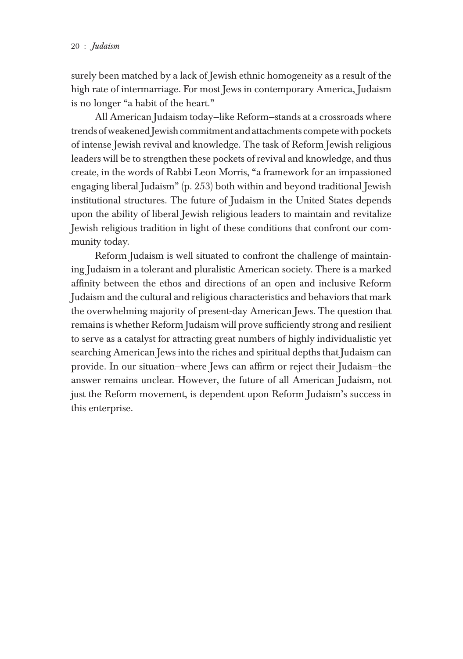surely been matched by a lack of Jewish ethnic homogeneity as a result of the high rate of intermarriage. For most Jews in contemporary America, Judaism is no longer "a habit of the heart."

All American Judaism today—like Reform—stands at a crossroads where trends of weakened Jewish commitment and attachments compete with pockets of intense Jewish revival and knowledge. The task of Reform Jewish religious leaders will be to strengthen these pockets of revival and knowledge, and thus create, in the words of Rabbi Leon Morris, "a framework for an impassioned engaging liberal Judaism" (p. 253) both within and beyond traditional Jewish institutional structures. The future of Judaism in the United States depends upon the ability of liberal Jewish religious leaders to maintain and revitalize Jewish religious tradition in light of these conditions that confront our community today.

Reform Judaism is well situated to confront the challenge of maintaining Judaism in a tolerant and pluralistic American society. There is a marked affinity between the ethos and directions of an open and inclusive Reform Judaism and the cultural and religious characteristics and behaviors that mark the overwhelming majority of present-day American Jews. The question that remains is whether Reform Judaism will prove sufficiently strong and resilient to serve as a catalyst for attracting great numbers of highly individualistic yet searching American Jews into the riches and spiritual depths that Judaism can provide. In our situation—where Jews can affirm or reject their Judaism—the answer remains unclear. However, the future of all American Judaism, not just the Reform movement, is dependent upon Reform Judaism's success in this enterprise.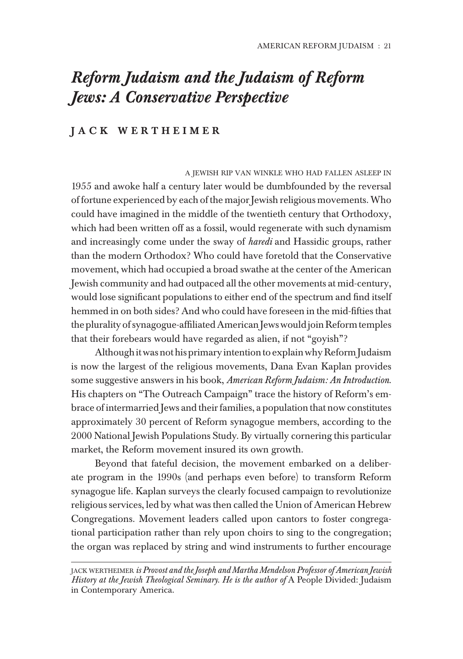## *Reform Judaism and the Judaism of Reform Jews: A Conservative Perspective*

### J A C K W E R T H E I M E R

A JEWISH RIP VAN WINKLE WHO HAD FALLEN ASLEEP IN 1955 and awoke half a century later would be dumbfounded by the reversal of fortune experienced by each of the major Jewish religious movements. Who could have imagined in the middle of the twentieth century that Orthodoxy, which had been written off as a fossil, would regenerate with such dynamism and increasingly come under the sway of *haredi* and Hassidic groups, rather than the modern Orthodox? Who could have foretold that the Conservative movement, which had occupied a broad swathe at the center of the American Jewish community and had outpaced all the other movements at mid-century, would lose significant populations to either end of the spectrum and find itself hemmed in on both sides? And who could have foreseen in the mid-fifties that the plurality of synagogue-affiliated American Jews would join Reform temples that their forebears would have regarded as alien, if not "goyish"?

Although it was not his primary intention to explain why Reform Judaism is now the largest of the religious movements, Dana Evan Kaplan provides some suggestive answers in his book, *American Reform Judaism: An Introduction*. His chapters on "The Outreach Campaign" trace the history of Reform's embrace of intermarried Jews and their families, a population that now constitutes approximately 30 percent of Reform synagogue members, according to the 2000 National Jewish Populations Study. By virtually cornering this particular market, the Reform movement insured its own growth.

Beyond that fateful decision, the movement embarked on a deliberate program in the 1990s (and perhaps even before) to transform Reform synagogue life. Kaplan surveys the clearly focused campaign to revolutionize religious services, led by what was then called the Union of American Hebrew Congregations. Movement leaders called upon cantors to foster congregational participation rather than rely upon choirs to sing to the congregation; the organ was replaced by string and wind instruments to further encourage

JACK WERTHEIMER *is Provost and the Joseph and Martha Mendelson Professor of American Jewish History at the Jewish Theological Seminary. He is the author of* A People Divided: Judaism in Contemporary America.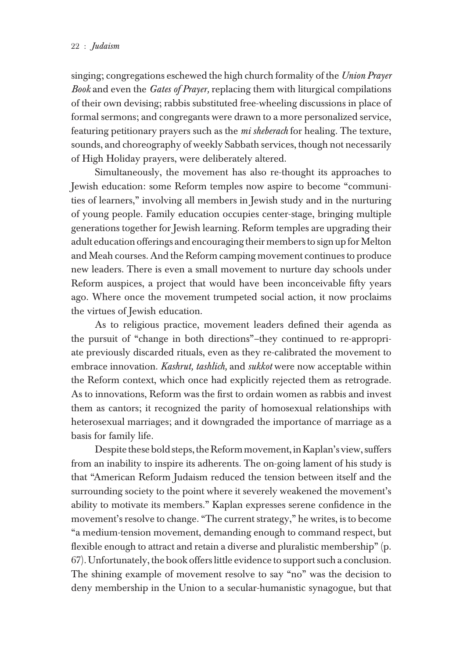singing; congregations eschewed the high church formality of the *Union Prayer Book* and even the *Gates of Prayer,* replacing them with liturgical compilations of their own devising; rabbis substituted free-wheeling discussions in place of formal sermons; and congregants were drawn to a more personalized service, featuring petitionary prayers such as the *mi sheberach* for healing. The texture, sounds, and choreography of weekly Sabbath services, though not necessarily of High Holiday prayers, were deliberately altered.

Simultaneously, the movement has also re-thought its approaches to Jewish education: some Reform temples now aspire to become "communities of learners," involving all members in Jewish study and in the nurturing of young people. Family education occupies center-stage, bringing multiple generations together for Jewish learning. Reform temples are upgrading their adult education offerings and encouraging their members to sign up for Melton and Meah courses. And the Reform camping movement continues to produce new leaders. There is even a small movement to nurture day schools under Reform auspices, a project that would have been inconceivable fifty years ago. Where once the movement trumpeted social action, it now proclaims the virtues of Jewish education.

As to religious practice, movement leaders defined their agenda as the pursuit of "change in both directions"–they continued to re-appropriate previously discarded rituals, even as they re-calibrated the movement to embrace innovation. *Kashrut, tashlich,* and *sukkot* were now acceptable within the Reform context, which once had explicitly rejected them as retrograde. As to innovations, Reform was the first to ordain women as rabbis and invest them as cantors; it recognized the parity of homosexual relationships with heterosexual marriages; and it downgraded the importance of marriage as a basis for family life.

Despite these bold steps, the Reform movement, in Kaplan's view, suffers from an inability to inspire its adherents. The on-going lament of his study is that "American Reform Judaism reduced the tension between itself and the surrounding society to the point where it severely weakened the movement's ability to motivate its members." Kaplan expresses serene confidence in the movement's resolve to change. "The current strategy," he writes, is to become "a medium-tension movement, demanding enough to command respect, but flexible enough to attract and retain a diverse and pluralistic membership" (p. 67). Unfortunately, the book offers little evidence to support such a conclusion. The shining example of movement resolve to say "no" was the decision to deny membership in the Union to a secular-humanistic synagogue, but that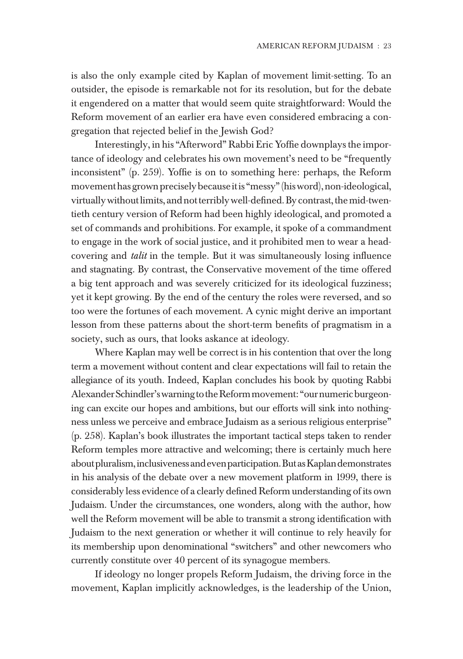is also the only example cited by Kaplan of movement limit-setting. To an outsider, the episode is remarkable not for its resolution, but for the debate it engendered on a matter that would seem quite straightforward: Would the Reform movement of an earlier era have even considered embracing a congregation that rejected belief in the Jewish God?

Interestingly, in his "Afterword" Rabbi Eric Yoffie downplays the importance of ideology and celebrates his own movement's need to be "frequently inconsistent" (p. 259). Yoffie is on to something here: perhaps, the Reform movement has grown precisely because it is "messy" (his word), non-ideological, virtually without limits, and not terribly well-defined. By contrast, the mid-twentieth century version of Reform had been highly ideological, and promoted a set of commands and prohibitions. For example, it spoke of a commandment to engage in the work of social justice, and it prohibited men to wear a headcovering and *talit* in the temple. But it was simultaneously losing influence and stagnating. By contrast, the Conservative movement of the time offered a big tent approach and was severely criticized for its ideological fuzziness; yet it kept growing. By the end of the century the roles were reversed, and so too were the fortunes of each movement. A cynic might derive an important lesson from these patterns about the short-term benefits of pragmatism in a society, such as ours, that looks askance at ideology.

Where Kaplan may well be correct is in his contention that over the long term a movement without content and clear expectations will fail to retain the allegiance of its youth. Indeed, Kaplan concludes his book by quoting Rabbi Alexander Schindler's warning to the Reform movement: "our numeric burgeoning can excite our hopes and ambitions, but our efforts will sink into nothingness unless we perceive and embrace Judaism as a serious religious enterprise" (p. 258). Kaplan's book illustrates the important tactical steps taken to render Reform temples more attractive and welcoming; there is certainly much here about pluralism, inclusiveness and even participation. But as Kaplan demonstrates in his analysis of the debate over a new movement platform in 1999, there is considerably less evidence of a clearly defined Reform understanding of its own Judaism. Under the circumstances, one wonders, along with the author, how well the Reform movement will be able to transmit a strong identification with Judaism to the next generation or whether it will continue to rely heavily for its membership upon denominational "switchers" and other newcomers who currently constitute over 40 percent of its synagogue members.

If ideology no longer propels Reform Judaism, the driving force in the movement, Kaplan implicitly acknowledges, is the leadership of the Union,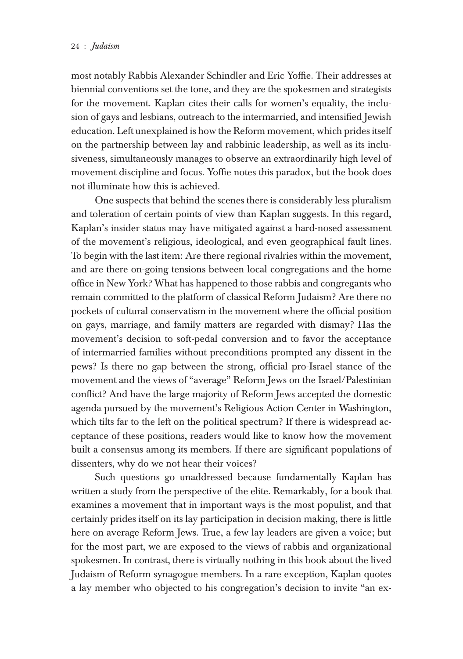#### 24 : *Judaism* American Reform **Judieism**  $\overline{u}$

most notably Rabbis Alexander Schindler and Eric Yoffie. Their addresses at biennial conventions set the tone, and they are the spokesmen and strategists for the movement. Kaplan cites their calls for women's equality, the inclusion of gays and lesbians, outreach to the intermarried, and intensified Jewish education. Left unexplained is how the Reform movement, which prides itself on the partnership between lay and rabbinic leadership, as well as its inclusiveness, simultaneously manages to observe an extraordinarily high level of movement discipline and focus. Yoffie notes this paradox, but the book does not illuminate how this is achieved.

One suspects that behind the scenes there is considerably less pluralism and toleration of certain points of view than Kaplan suggests. In this regard, Kaplan's insider status may have mitigated against a hard-nosed assessment of the movement's religious, ideological, and even geographical fault lines. To begin with the last item: Are there regional rivalries within the movement, and are there on-going tensions between local congregations and the home office in New York? What has happened to those rabbis and congregants who remain committed to the platform of classical Reform Judaism? Are there no pockets of cultural conservatism in the movement where the official position on gays, marriage, and family matters are regarded with dismay? Has the movement's decision to soft-pedal conversion and to favor the acceptance of intermarried families without preconditions prompted any dissent in the pews? Is there no gap between the strong, official pro-Israel stance of the movement and the views of "average" Reform Jews on the Israel/Palestinian conflict? And have the large majority of Reform Jews accepted the domestic agenda pursued by the movement's Religious Action Center in Washington, which tilts far to the left on the political spectrum? If there is widespread acceptance of these positions, readers would like to know how the movement built a consensus among its members. If there are significant populations of dissenters, why do we not hear their voices?

Such questions go unaddressed because fundamentally Kaplan has written a study from the perspective of the elite. Remarkably, for a book that examines a movement that in important ways is the most populist, and that certainly prides itself on its lay participation in decision making, there is little here on average Reform Jews. True, a few lay leaders are given a voice; but for the most part, we are exposed to the views of rabbis and organizational spokesmen. In contrast, there is virtually nothing in this book about the lived Judaism of Reform synagogue members. In a rare exception, Kaplan quotes a lay member who objected to his congregation's decision to invite "an ex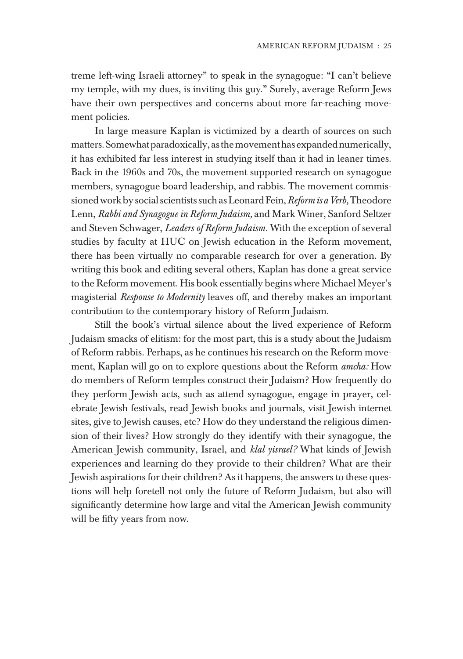treme left-wing Israeli attorney" to speak in the synagogue: "I can't believe my temple, with my dues, is inviting this guy." Surely, average Reform Jews have their own perspectives and concerns about more far-reaching movement policies.

In large measure Kaplan is victimized by a dearth of sources on such matters. Somewhat paradoxically, as the movement has expanded numerically, it has exhibited far less interest in studying itself than it had in leaner times. Back in the 1960s and 70s, the movement supported research on synagogue members, synagogue board leadership, and rabbis. The movement commissioned work by social scientists such as Leonard Fein, *Reform is a Verb,* Theodore Lenn, *Rabbi and Synagogue in Reform Judaism,* and Mark Winer, Sanford Seltzer and Steven Schwager, *Leaders of Reform Judaism.* With the exception of several studies by faculty at HUC on Jewish education in the Reform movement, there has been virtually no comparable research for over a generation. By writing this book and editing several others, Kaplan has done a great service to the Reform movement. His book essentially begins where Michael Meyer's magisterial *Response to Modernity* leaves off, and thereby makes an important contribution to the contemporary history of Reform Judaism.

Still the book's virtual silence about the lived experience of Reform Judaism smacks of elitism: for the most part, this is a study about the Judaism of Reform rabbis. Perhaps, as he continues his research on the Reform movement, Kaplan will go on to explore questions about the Reform *amcha:* How do members of Reform temples construct their Judaism? How frequently do they perform Jewish acts, such as attend synagogue, engage in prayer, celebrate Jewish festivals, read Jewish books and journals, visit Jewish internet sites, give to Jewish causes, etc? How do they understand the religious dimension of their lives? How strongly do they identify with their synagogue, the American Jewish community, Israel, and *klal yisrael?* What kinds of Jewish experiences and learning do they provide to their children? What are their Jewish aspirations for their children? As it happens, the answers to these questions will help foretell not only the future of Reform Judaism, but also will significantly determine how large and vital the American Jewish community will be fifty years from now.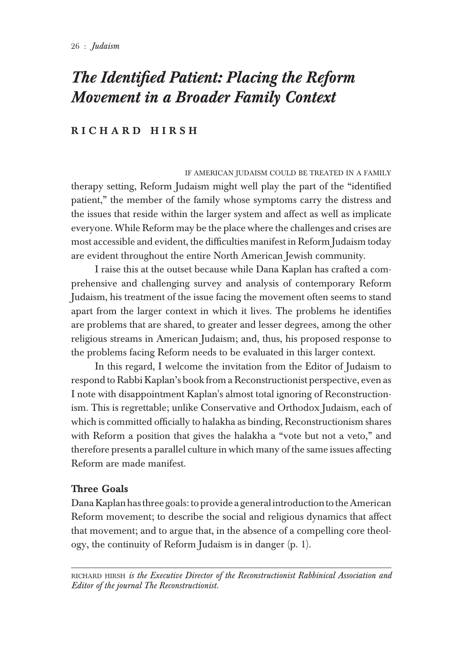# *The Identified Patient: Placing the Reform Movement in a Broader Family Context*

## RICHARD HIRSH

IF AMERICAN JUDAISM COULD BE TREATED IN A FAMILY therapy setting, Reform Judaism might well play the part of the "identified patient," the member of the family whose symptoms carry the distress and the issues that reside within the larger system and affect as well as implicate everyone. While Reform may be the place where the challenges and crises are most accessible and evident, the difficulties manifest in Reform Judaism today are evident throughout the entire North American Jewish community.

I raise this at the outset because while Dana Kaplan has crafted a comprehensive and challenging survey and analysis of contemporary Reform Judaism, his treatment of the issue facing the movement often seems to stand apart from the larger context in which it lives. The problems he identifies are problems that are shared, to greater and lesser degrees, among the other religious streams in American Judaism; and, thus, his proposed response to the problems facing Reform needs to be evaluated in this larger context.

In this regard, I welcome the invitation from the Editor of Judaism to respond to Rabbi Kaplan's book from a Reconstructionist perspective, even as I note with disappointment Kaplan's almost total ignoring of Reconstructionism. This is regrettable; unlike Conservative and Orthodox Judaism, each of which is committed officially to halakha as binding, Reconstructionism shares with Reform a position that gives the halakha a "vote but not a veto," and therefore presents a parallel culture in which many of the same issues affecting Reform are made manifest.

### Three Goals

Dana Kaplan has three goals: to provide a general introduction to the American Reform movement; to describe the social and religious dynamics that affect that movement; and to argue that, in the absence of a compelling core theology, the continuity of Reform Judaism is in danger (p. 1).

RICHARD HIRSH *is the Executive Director of the Reconstructionist Rabbinical Association and Editor of the journal The Reconstructionist.*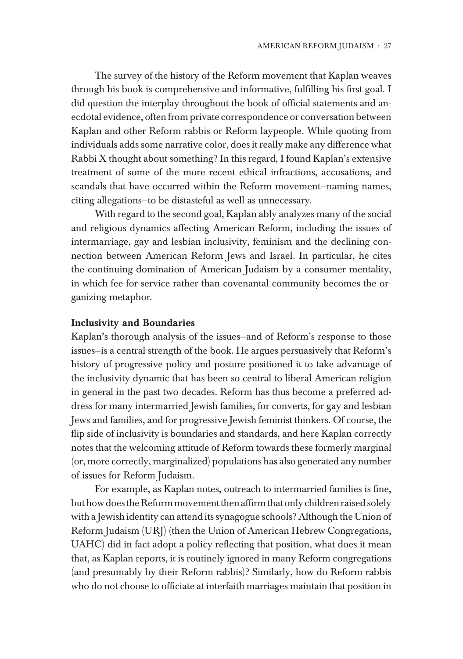The survey of the history of the Reform movement that Kaplan weaves through his book is comprehensive and informative, fulfilling his first goal. I did question the interplay throughout the book of official statements and anecdotal evidence, often from private correspondence or conversation between Kaplan and other Reform rabbis or Reform laypeople. While quoting from individuals adds some narrative color, does it really make any difference what Rabbi X thought about something? In this regard, I found Kaplan's extensive treatment of some of the more recent ethical infractions, accusations, and scandals that have occurred within the Reform movement—naming names, citing allegations—to be distasteful as well as unnecessary.

With regard to the second goal, Kaplan ably analyzes many of the social and religious dynamics affecting American Reform, including the issues of intermarriage, gay and lesbian inclusivity, feminism and the declining connection between American Reform Jews and Israel. In particular, he cites the continuing domination of American Judaism by a consumer mentality, in which fee-for-service rather than covenantal community becomes the organizing metaphor.

#### Inclusivity and Boundaries

Kaplan's thorough analysis of the issues—and of Reform's response to those issues—is a central strength of the book. He argues persuasively that Reform's history of progressive policy and posture positioned it to take advantage of the inclusivity dynamic that has been so central to liberal American religion in general in the past two decades. Reform has thus become a preferred address for many intermarried Jewish families, for converts, for gay and lesbian Jews and families, and for progressive Jewish feminist thinkers. Of course, the flip side of inclusivity is boundaries and standards, and here Kaplan correctly notes that the welcoming attitude of Reform towards these formerly marginal (or, more correctly, marginalized) populations has also generated any number of issues for Reform Judaism.

For example, as Kaplan notes, outreach to intermarried families is fine, but how does the Reform movement then affirm that only children raised solely with a Jewish identity can attend its synagogue schools? Although the Union of Reform Judaism (URJ) (then the Union of American Hebrew Congregations, UAHC) did in fact adopt a policy reflecting that position, what does it mean that, as Kaplan reports, it is routinely ignored in many Reform congregations (and presumably by their Reform rabbis)? Similarly, how do Reform rabbis who do not choose to officiate at interfaith marriages maintain that position in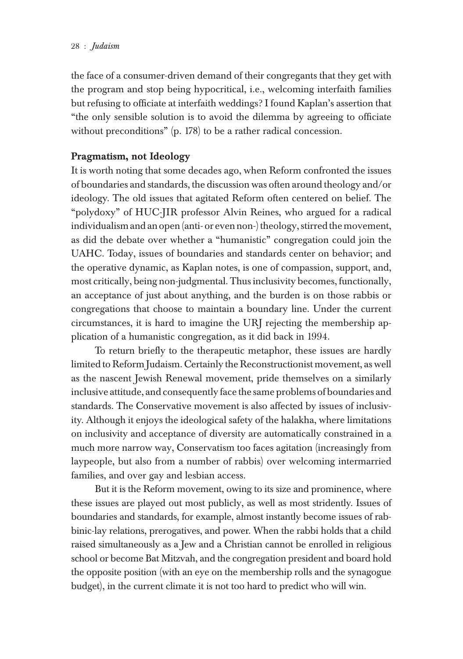the face of a consumer-driven demand of their congregants that they get with the program and stop being hypocritical, i.e., welcoming interfaith families but refusing to officiate at interfaith weddings? I found Kaplan's assertion that "the only sensible solution is to avoid the dilemma by agreeing to officiate without preconditions" (p. 178) to be a rather radical concession.

## Pragmatism, not Ideology

It is worth noting that some decades ago, when Reform confronted the issues of boundaries and standards, the discussion was often around theology and/or ideology. The old issues that agitated Reform often centered on belief. The "polydoxy" of HUC-JIR professor Alvin Reines, who argued for a radical individualism and an open (anti- or even non-) theology, stirred the movement, as did the debate over whether a "humanistic" congregation could join the UAHC. Today, issues of boundaries and standards center on behavior; and the operative dynamic, as Kaplan notes, is one of compassion, support, and, most critically, being non-judgmental. Thus inclusivity becomes, functionally, an acceptance of just about anything, and the burden is on those rabbis or congregations that choose to maintain a boundary line. Under the current circumstances, it is hard to imagine the URJ rejecting the membership application of a humanistic congregation, as it did back in 1994.

To return briefly to the therapeutic metaphor, these issues are hardly limited to Reform Judaism. Certainly the Reconstructionist movement, as well as the nascent Jewish Renewal movement, pride themselves on a similarly inclusive attitude, and consequently face the same problems of boundaries and standards. The Conservative movement is also affected by issues of inclusivity. Although it enjoys the ideological safety of the halakha, where limitations on inclusivity and acceptance of diversity are automatically constrained in a much more narrow way, Conservatism too faces agitation (increasingly from laypeople, but also from a number of rabbis) over welcoming intermarried families, and over gay and lesbian access.

But it is the Reform movement, owing to its size and prominence, where these issues are played out most publicly, as well as most stridently. Issues of boundaries and standards, for example, almost instantly become issues of rabbinic-lay relations, prerogatives, and power. When the rabbi holds that a child raised simultaneously as a Jew and a Christian cannot be enrolled in religious school or become Bat Mitzvah, and the congregation president and board hold the opposite position (with an eye on the membership rolls and the synagogue budget), in the current climate it is not too hard to predict who will win.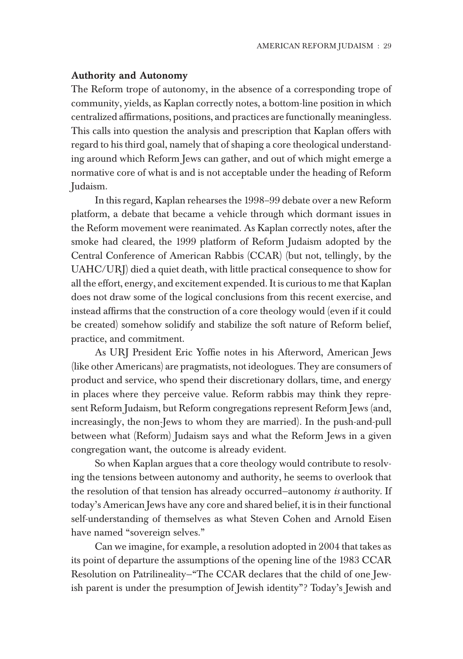#### Authority and Autonomy

The Reform trope of autonomy, in the absence of a corresponding trope of community, yields, as Kaplan correctly notes, a bottom-line position in which centralized affirmations, positions, and practices are functionally meaningless. This calls into question the analysis and prescription that Kaplan offers with regard to his third goal, namely that of shaping a core theological understanding around which Reform Jews can gather, and out of which might emerge a normative core of what is and is not acceptable under the heading of Reform Judaism.

In this regard, Kaplan rehearses the 1998–99 debate over a new Reform platform, a debate that became a vehicle through which dormant issues in the Reform movement were reanimated. As Kaplan correctly notes, after the smoke had cleared, the 1999 platform of Reform Judaism adopted by the Central Conference of American Rabbis (CCAR) (but not, tellingly, by the UAHC/URJ) died a quiet death, with little practical consequence to show for all the effort, energy, and excitement expended. It is curious to me that Kaplan does not draw some of the logical conclusions from this recent exercise, and instead affirms that the construction of a core theology would (even if it could be created) somehow solidify and stabilize the soft nature of Reform belief, practice, and commitment.

As URJ President Eric Yoffie notes in his Afterword, American Jews (like other Americans) are pragmatists, not ideologues. They are consumers of product and service, who spend their discretionary dollars, time, and energy in places where they perceive value. Reform rabbis may think they represent Reform Judaism, but Reform congregations represent Reform Jews (and, increasingly, the non-Jews to whom they are married). In the push-and-pull between what (Reform) Judaism says and what the Reform Jews in a given congregation want, the outcome is already evident.

So when Kaplan argues that a core theology would contribute to resolving the tensions between autonomy and authority, he seems to overlook that the resolution of that tension has already occurred—autonomy *is* authority. If today's American Jews have any core and shared belief, it is in their functional self-understanding of themselves as what Steven Cohen and Arnold Eisen have named "sovereign selves."

Can we imagine, for example, a resolution adopted in 2004 that takes as its point of departure the assumptions of the opening line of the 1983 CCAR Resolution on Patrilineality—"The CCAR declares that the child of one Jewish parent is under the presumption of Jewish identity"? Today's Jewish and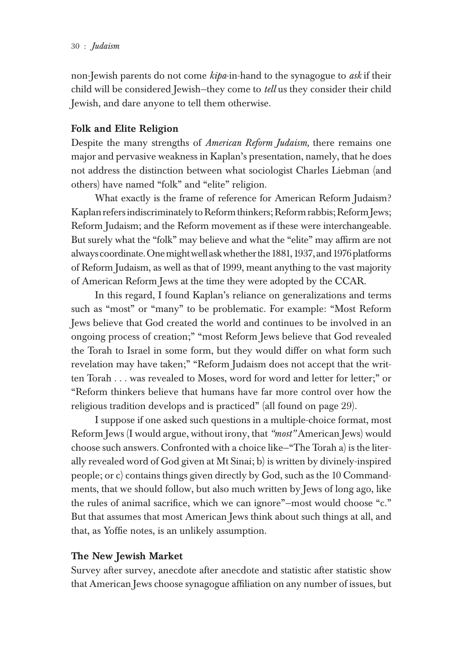non-Jewish parents do not come *kipa*-in-hand to the synagogue to *ask* if their child will be considered Jewish—they come to *tell* us they consider their child Jewish, and dare anyone to tell them otherwise.

### Folk and Elite Religion

Despite the many strengths of *American Reform Judaism,* there remains one major and pervasive weakness in Kaplan's presentation, namely, that he does not address the distinction between what sociologist Charles Liebman (and others) have named "folk" and "elite" religion.

What exactly is the frame of reference for American Reform Judaism? Kaplan refers indiscriminately to Reform thinkers; Reform rabbis; Reform Jews; Reform Judaism; and the Reform movement as if these were interchangeable. But surely what the "folk" may believe and what the "elite" may affirm are not always coordinate. One might well ask whether the 1881, 1937, and 1976 platforms of Reform Judaism, as well as that of 1999, meant anything to the vast majority of American Reform Jews at the time they were adopted by the CCAR.

In this regard, I found Kaplan's reliance on generalizations and terms such as "most" or "many" to be problematic. For example: "Most Reform Jews believe that God created the world and continues to be involved in an ongoing process of creation;" "most Reform Jews believe that God revealed the Torah to Israel in some form, but they would differ on what form such revelation may have taken;" "Reform Judaism does not accept that the written Torah . . . was revealed to Moses, word for word and letter for letter;" or "Reform thinkers believe that humans have far more control over how the religious tradition develops and is practiced" (all found on page 29).

I suppose if one asked such questions in a multiple-choice format, most Reform Jews (I would argue, without irony, that *"most"* American Jews) would choose such answers. Confronted with a choice like—"The Torah a) is the literally revealed word of God given at Mt Sinai; b) is written by divinely-inspired people; or c) contains things given directly by God, such as the 10 Commandments, that we should follow, but also much written by Jews of long ago, like the rules of animal sacrifice, which we can ignore"—most would choose "c." But that assumes that most American Jews think about such things at all, and that, as Yoffie notes, is an unlikely assumption.

### The New Jewish Market

Survey after survey, anecdote after anecdote and statistic after statistic show that American Jews choose synagogue affiliation on any number of issues, but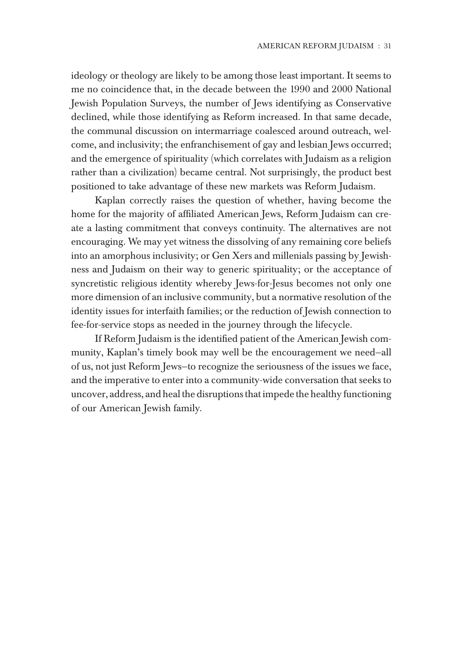ideology or theology are likely to be among those least important. It seems to me no coincidence that, in the decade between the 1990 and 2000 National Jewish Population Surveys, the number of Jews identifying as Conservative declined, while those identifying as Reform increased. In that same decade, the communal discussion on intermarriage coalesced around outreach, welcome, and inclusivity; the enfranchisement of gay and lesbian Jews occurred; and the emergence of spirituality (which correlates with Judaism as a religion rather than a civilization) became central. Not surprisingly, the product best positioned to take advantage of these new markets was Reform Judaism.

Kaplan correctly raises the question of whether, having become the home for the majority of affiliated American Jews, Reform Judaism can create a lasting commitment that conveys continuity. The alternatives are not encouraging. We may yet witness the dissolving of any remaining core beliefs into an amorphous inclusivity; or Gen Xers and millenials passing by Jewishness and Judaism on their way to generic spirituality; or the acceptance of syncretistic religious identity whereby Jews-for-Jesus becomes not only one more dimension of an inclusive community, but a normative resolution of the identity issues for interfaith families; or the reduction of Jewish connection to fee-for-service stops as needed in the journey through the lifecycle.

If Reform Judaism is the identified patient of the American Jewish community, Kaplan's timely book may well be the encouragement we need—all of us, not just Reform Jews—to recognize the seriousness of the issues we face, and the imperative to enter into a community-wide conversation that seeks to uncover, address, and heal the disruptions that impede the healthy functioning of our American Jewish family.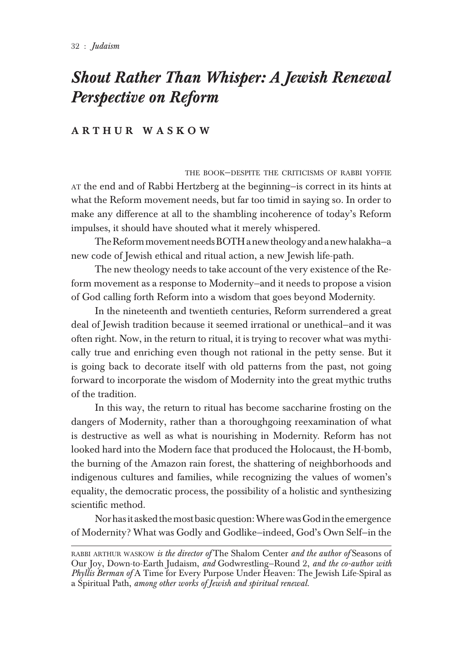## *Shout Rather Than Whisper: A Jewish Renewal Perspective on Reform*

### A R T H U R W A S K O W

THE BOOK—DESPITE THE CRITICISMS OF RABBI YOFFIE AT the end and of Rabbi Hertzberg at the beginning—is correct in its hints at what the Reform movement needs, but far too timid in saying so. In order to make any difference at all to the shambling incoherence of today's Reform impulses, it should have shouted what it merely whispered.

The Reform movement needs BOTH a new theology and a new halakha—a new code of Jewish ethical and ritual action, a new Jewish life-path.

The new theology needs to take account of the very existence of the Reform movement as a response to Modernity—and it needs to propose a vision of God calling forth Reform into a wisdom that goes beyond Modernity.

In the nineteenth and twentieth centuries, Reform surrendered a great deal of Jewish tradition because it seemed irrational or unethical—and it was often right. Now, in the return to ritual, it is trying to recover what was mythically true and enriching even though not rational in the petty sense. But it is going back to decorate itself with old patterns from the past, not going forward to incorporate the wisdom of Modernity into the great mythic truths of the tradition.

In this way, the return to ritual has become saccharine frosting on the dangers of Modernity, rather than a thoroughgoing reexamination of what is destructive as well as what is nourishing in Modernity. Reform has not looked hard into the Modern face that produced the Holocaust, the H-bomb, the burning of the Amazon rain forest, the shattering of neighborhoods and indigenous cultures and families, while recognizing the values of women's equality, the democratic process, the possibility of a holistic and synthesizing scientific method.

Nor has it asked the most basic question: Where was God in the emergence of Modernity? What was Godly and Godlike—indeed, God's Own Self—in the

RABBI ARTHUR WASKOW *is the director of* The Shalom Center *and the author of* Seasons of Our Joy, Down-to-Earth Judaism, *and* Godwrestling—Round 2, *and the co-author with Phyllis Berman of* A Time for Every Purpose Under Heaven: The Jewish Life-Spiral as a Spiritual Path, *among other works of Jewish and spiritual renewal.*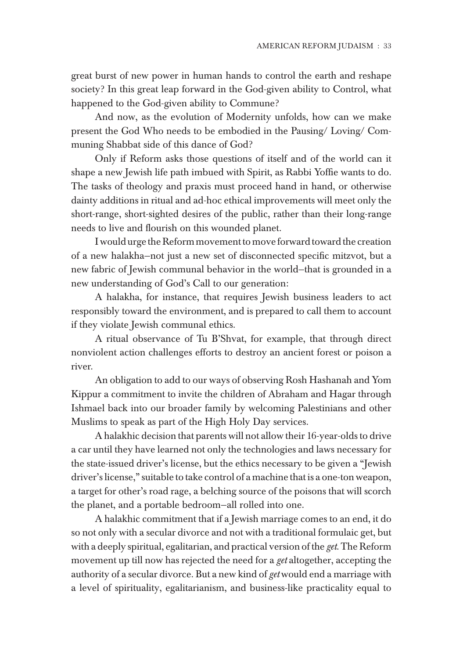great burst of new power in human hands to control the earth and reshape society? In this great leap forward in the God-given ability to Control, what happened to the God-given ability to Commune?

And now, as the evolution of Modernity unfolds, how can we make present the God Who needs to be embodied in the Pausing/ Loving/ Communing Shabbat side of this dance of God?

Only if Reform asks those questions of itself and of the world can it shape a new Jewish life path imbued with Spirit, as Rabbi Yoffie wants to do. The tasks of theology and praxis must proceed hand in hand, or otherwise dainty additions in ritual and ad-hoc ethical improvements will meet only the short-range, short-sighted desires of the public, rather than their long-range needs to live and flourish on this wounded planet.

I would urge the Reform movement to move forward toward the creation of a new halakha—not just a new set of disconnected specific mitzvot, but a new fabric of Jewish communal behavior in the world—that is grounded in a new understanding of God's Call to our generation:

A halakha, for instance, that requires Jewish business leaders to act responsibly toward the environment, and is prepared to call them to account if they violate Jewish communal ethics.

A ritual observance of Tu B'Shvat, for example, that through direct nonviolent action challenges efforts to destroy an ancient forest or poison a river.

An obligation to add to our ways of observing Rosh Hashanah and Yom Kippur a commitment to invite the children of Abraham and Hagar through Ishmael back into our broader family by welcoming Palestinians and other Muslims to speak as part of the High Holy Day services.

A halakhic decision that parents will not allow their 16-year-olds to drive a car until they have learned not only the technologies and laws necessary for the state-issued driver's license, but the ethics necessary to be given a "Jewish driver's license," suitable to take control of a machine that is a one-ton weapon, a target for other's road rage, a belching source of the poisons that will scorch the planet, and a portable bedroom—all rolled into one.

A halakhic commitment that if a Jewish marriage comes to an end, it do so not only with a secular divorce and not with a traditional formulaic get, but with a deeply spiritual, egalitarian, and practical version of the *get*. The Reform movement up till now has rejected the need for a *get* altogether, accepting the authority of a secular divorce. But a new kind of *get* would end a marriage with a level of spirituality, egalitarianism, and business-like practicality equal to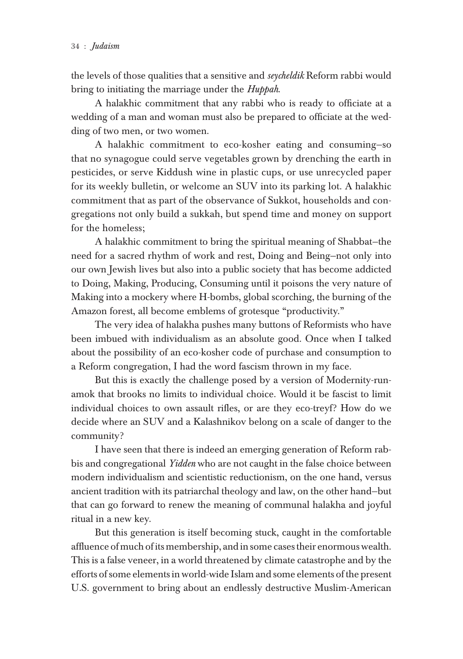the levels of those qualities that a sensitive and *seycheldik* Reform rabbi would bring to initiating the marriage under the *Huppah*.

A halakhic commitment that any rabbi who is ready to officiate at a wedding of a man and woman must also be prepared to officiate at the wedding of two men, or two women.

A halakhic commitment to eco-kosher eating and consuming—so that no synagogue could serve vegetables grown by drenching the earth in pesticides, or serve Kiddush wine in plastic cups, or use unrecycled paper for its weekly bulletin, or welcome an SUV into its parking lot. A halakhic commitment that as part of the observance of Sukkot, households and congregations not only build a sukkah, but spend time and money on support for the homeless;

A halakhic commitment to bring the spiritual meaning of Shabbat—the need for a sacred rhythm of work and rest, Doing and Being—not only into our own Jewish lives but also into a public society that has become addicted to Doing, Making, Producing, Consuming until it poisons the very nature of Making into a mockery where H-bombs, global scorching, the burning of the Amazon forest, all become emblems of grotesque "productivity."

The very idea of halakha pushes many buttons of Reformists who have been imbued with individualism as an absolute good. Once when I talked about the possibility of an eco-kosher code of purchase and consumption to a Reform congregation, I had the word fascism thrown in my face.

But this is exactly the challenge posed by a version of Modernity-runamok that brooks no limits to individual choice. Would it be fascist to limit individual choices to own assault rifles, or are they eco-treyf? How do we decide where an SUV and a Kalashnikov belong on a scale of danger to the community?

I have seen that there is indeed an emerging generation of Reform rabbis and congregational *Yidden* who are not caught in the false choice between modern individualism and scientistic reductionism, on the one hand, versus ancient tradition with its patriarchal theology and law, on the other hand—but that can go forward to renew the meaning of communal halakha and joyful ritual in a new key.

But this generation is itself becoming stuck, caught in the comfortable affluence of much of its membership, and in some cases their enormous wealth. This is a false veneer, in a world threatened by climate catastrophe and by the efforts of some elements in world-wide Islam and some elements of the present U.S. government to bring about an endlessly destructive Muslim-American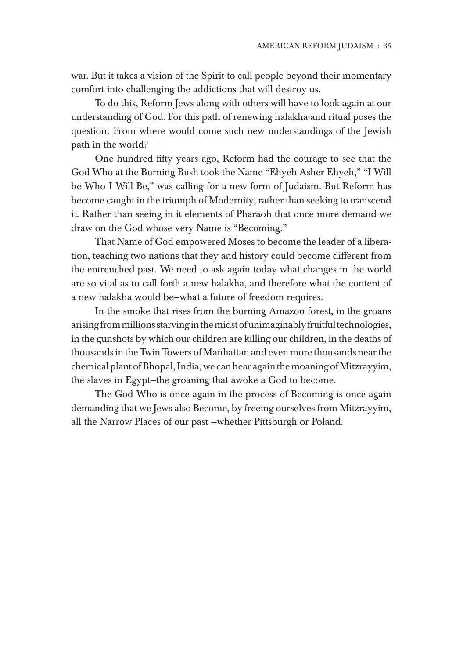war. But it takes a vision of the Spirit to call people beyond their momentary comfort into challenging the addictions that will destroy us.

To do this, Reform Jews along with others will have to look again at our understanding of God. For this path of renewing halakha and ritual poses the question: From where would come such new understandings of the Jewish path in the world?

One hundred fifty years ago, Reform had the courage to see that the God Who at the Burning Bush took the Name "Ehyeh Asher Ehyeh," "I Will be Who I Will Be," was calling for a new form of Judaism. But Reform has become caught in the triumph of Modernity, rather than seeking to transcend it. Rather than seeing in it elements of Pharaoh that once more demand we draw on the God whose very Name is "Becoming."

That Name of God empowered Moses to become the leader of a liberation, teaching two nations that they and history could become different from the entrenched past. We need to ask again today what changes in the world are so vital as to call forth a new halakha, and therefore what the content of a new halakha would be—what a future of freedom requires.

In the smoke that rises from the burning Amazon forest, in the groans arising from millions starving in the midst of unimaginably fruitful technologies, in the gunshots by which our children are killing our children, in the deaths of thousands in the Twin Towers of Manhattan and even more thousands near the chemical plant of Bhopal, India, we can hear again the moaning of Mitzrayyim, the slaves in Egypt—the groaning that awoke a God to become.

The God Who is once again in the process of Becoming is once again demanding that we Jews also Become, by freeing ourselves from Mitzrayyim, all the Narrow Places of our past —whether Pittsburgh or Poland.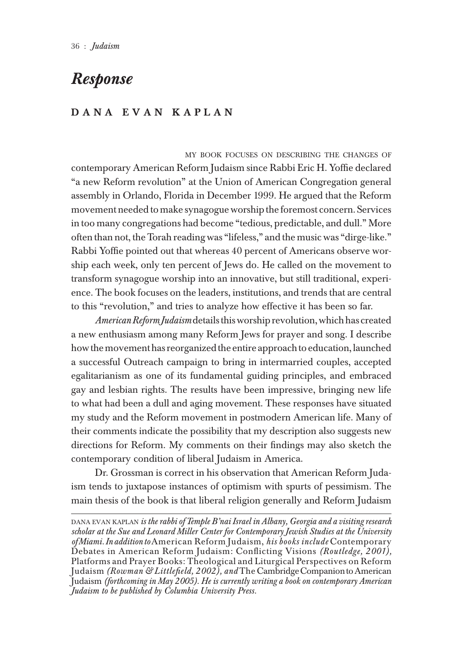## *Response*

## D A N A E V A N K A P L A N

MY BOOK FOCUSES ON DESCRIBING THE CHANGES OF contemporary American Reform Judaism since Rabbi Eric H. Yoffie declared "a new Reform revolution" at the Union of American Congregation general assembly in Orlando, Florida in December 1999. He argued that the Reform movement needed to make synagogue worship the foremost concern. Services in too many congregations had become "tedious, predictable, and dull." More often than not, the Torah reading was "lifeless," and the music was "dirge-like." Rabbi Yoffie pointed out that whereas 40 percent of Americans observe worship each week, only ten percent of Jews do. He called on the movement to transform synagogue worship into an innovative, but still traditional, experience. The book focuses on the leaders, institutions, and trends that are central to this "revolution," and tries to analyze how effective it has been so far.

*American Reform Judaism* details this worship revolution, which has created a new enthusiasm among many Reform Jews for prayer and song. I describe how the movement has reorganized the entire approach to education, launched a successful Outreach campaign to bring in intermarried couples, accepted egalitarianism as one of its fundamental guiding principles, and embraced gay and lesbian rights. The results have been impressive, bringing new life to what had been a dull and aging movement. These responses have situated my study and the Reform movement in postmodern American life. Many of their comments indicate the possibility that my description also suggests new directions for Reform. My comments on their findings may also sketch the contemporary condition of liberal Judaism in America.

Dr. Grossman is correct in his observation that American Reform Judaism tends to juxtapose instances of optimism with spurts of pessimism. The main thesis of the book is that liberal religion generally and Reform Judaism

DANA EVAN KAPLAN *is the rabbi of Temple B'nai Israel in Albany, Georgia and a visiting research scholar at the Sue and Leonard Miller Center for Contemporary Jewish Studies at the University of Miami. In addition to* American Reform Judaism, *his books include* Contemporary Debates in American Reform Judaism: Conflicting Visions *(Routledge, 2001),* Platforms and Prayer Books: Theological and Liturgical Perspectives on Reform Judaism *(Rowman & Littlefield, 2002), and* The Cambridge Companion to American Judaism *(forthcoming in May 2005). He is currently writing a book on contemporary American Judaism to be published by Columbia University Press.*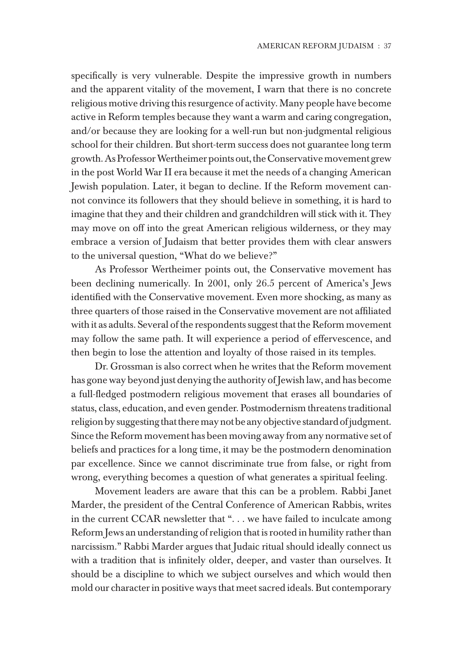specifically is very vulnerable. Despite the impressive growth in numbers and the apparent vitality of the movement, I warn that there is no concrete religious motive driving this resurgence of activity. Many people have become active in Reform temples because they want a warm and caring congregation, and/or because they are looking for a well-run but non-judgmental religious school for their children. But short-term success does not guarantee long term growth. As Professor Wertheimer points out, the Conservative movement grew in the post World War II era because it met the needs of a changing American Jewish population. Later, it began to decline. If the Reform movement cannot convince its followers that they should believe in something, it is hard to imagine that they and their children and grandchildren will stick with it. They may move on off into the great American religious wilderness, or they may embrace a version of Judaism that better provides them with clear answers to the universal question, "What do we believe?"

As Professor Wertheimer points out, the Conservative movement has been declining numerically. In 2001, only 26.5 percent of America's Jews identified with the Conservative movement. Even more shocking, as many as three quarters of those raised in the Conservative movement are not affiliated with it as adults. Several of the respondents suggest that the Reform movement may follow the same path. It will experience a period of effervescence, and then begin to lose the attention and loyalty of those raised in its temples.

Dr. Grossman is also correct when he writes that the Reform movement has gone way beyond just denying the authority of Jewish law, and has become a full-fledged postmodern religious movement that erases all boundaries of status, class, education, and even gender. Postmodernism threatens traditional religion by suggesting that there may not be any objective standard of judgment. Since the Reform movement has been moving away from any normative set of beliefs and practices for a long time, it may be the postmodern denomination par excellence. Since we cannot discriminate true from false, or right from wrong, everything becomes a question of what generates a spiritual feeling.

Movement leaders are aware that this can be a problem. Rabbi Janet Marder, the president of the Central Conference of American Rabbis, writes in the current CCAR newsletter that ". . . we have failed to inculcate among Reform Jews an understanding of religion that is rooted in humility rather than narcissism." Rabbi Marder argues that Judaic ritual should ideally connect us with a tradition that is infinitely older, deeper, and vaster than ourselves. It should be a discipline to which we subject ourselves and which would then mold our character in positive ways that meet sacred ideals. But contemporary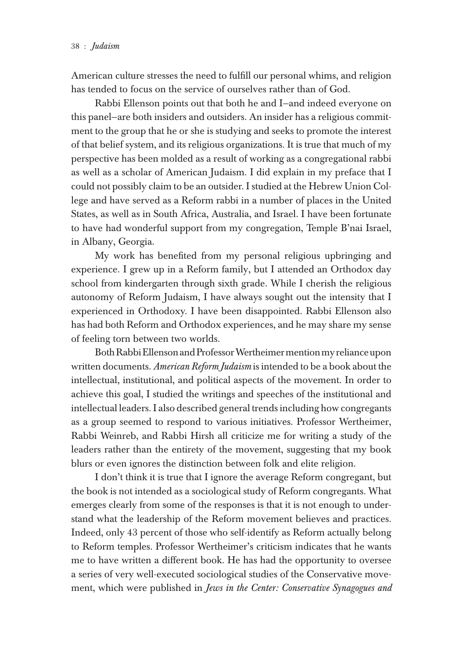American culture stresses the need to fulfill our personal whims, and religion has tended to focus on the service of ourselves rather than of God.

Rabbi Ellenson points out that both he and I—and indeed everyone on this panel—are both insiders and outsiders. An insider has a religious commitment to the group that he or she is studying and seeks to promote the interest of that belief system, and its religious organizations. It is true that much of my perspective has been molded as a result of working as a congregational rabbi as well as a scholar of American Judaism. I did explain in my preface that I could not possibly claim to be an outsider. I studied at the Hebrew Union College and have served as a Reform rabbi in a number of places in the United States, as well as in South Africa, Australia, and Israel. I have been fortunate to have had wonderful support from my congregation, Temple B'nai Israel, in Albany, Georgia.

My work has benefited from my personal religious upbringing and experience. I grew up in a Reform family, but I attended an Orthodox day school from kindergarten through sixth grade. While I cherish the religious autonomy of Reform Judaism, I have always sought out the intensity that I experienced in Orthodoxy. I have been disappointed. Rabbi Ellenson also has had both Reform and Orthodox experiences, and he may share my sense of feeling torn between two worlds.

Both Rabbi Ellenson and Professor Wertheimer mention my reliance upon written documents. *American Reform Judaism* is intended to be a book about the intellectual, institutional, and political aspects of the movement. In order to achieve this goal, I studied the writings and speeches of the institutional and intellectual leaders. I also described general trends including how congregants as a group seemed to respond to various initiatives. Professor Wertheimer, Rabbi Weinreb, and Rabbi Hirsh all criticize me for writing a study of the leaders rather than the entirety of the movement, suggesting that my book blurs or even ignores the distinction between folk and elite religion.

I don't think it is true that I ignore the average Reform congregant, but the book is not intended as a sociological study of Reform congregants. What emerges clearly from some of the responses is that it is not enough to understand what the leadership of the Reform movement believes and practices. Indeed, only 43 percent of those who self-identify as Reform actually belong to Reform temples. Professor Wertheimer's criticism indicates that he wants me to have written a different book. He has had the opportunity to oversee a series of very well-executed sociological studies of the Conservative movement, which were published in *Jews in the Center: Conservative Synagogues and*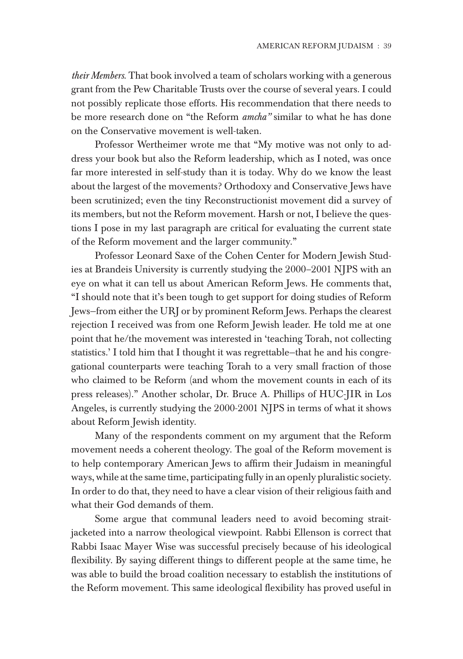*their Members*. That book involved a team of scholars working with a generous grant from the Pew Charitable Trusts over the course of several years. I could not possibly replicate those efforts. His recommendation that there needs to be more research done on "the Reform *amcha"* similar to what he has done on the Conservative movement is well-taken.

Professor Wertheimer wrote me that "My motive was not only to address your book but also the Reform leadership, which as I noted, was once far more interested in self-study than it is today. Why do we know the least about the largest of the movements? Orthodoxy and Conservative Jews have been scrutinized; even the tiny Reconstructionist movement did a survey of its members, but not the Reform movement. Harsh or not, I believe the questions I pose in my last paragraph are critical for evaluating the current state of the Reform movement and the larger community."

Professor Leonard Saxe of the Cohen Center for Modern Jewish Studies at Brandeis University is currently studying the 2000–2001 NJPS with an eye on what it can tell us about American Reform Jews. He comments that, "I should note that it's been tough to get support for doing studies of Reform Jews—from either the URJ or by prominent Reform Jews. Perhaps the clearest rejection I received was from one Reform Jewish leader. He told me at one point that he/the movement was interested in 'teaching Torah, not collecting statistics.' I told him that I thought it was regrettable—that he and his congregational counterparts were teaching Torah to a very small fraction of those who claimed to be Reform (and whom the movement counts in each of its press releases)." Another scholar, Dr. Bruce A. Phillips of HUC-JIR in Los Angeles, is currently studying the 2000-2001 NJPS in terms of what it shows about Reform Jewish identity.

Many of the respondents comment on my argument that the Reform movement needs a coherent theology. The goal of the Reform movement is to help contemporary American Jews to affirm their Judaism in meaningful ways, while at the same time, participating fully in an openly pluralistic society. In order to do that, they need to have a clear vision of their religious faith and what their God demands of them.

Some argue that communal leaders need to avoid becoming straitjacketed into a narrow theological viewpoint. Rabbi Ellenson is correct that Rabbi Isaac Mayer Wise was successful precisely because of his ideological flexibility. By saying different things to different people at the same time, he was able to build the broad coalition necessary to establish the institutions of the Reform movement. This same ideological flexibility has proved useful in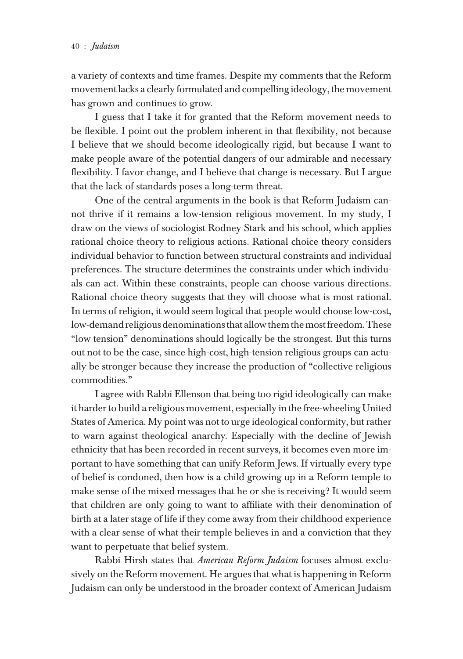a variety of contexts and time frames. Despite my comments that the Reform movement lacks a clearly formulated and compelling ideology, the movement has grown and continues to grow.

I guess that I take it for granted that the Reform movement needs to be flexible. I point out the problem inherent in that flexibility, not because I believe that we should become ideologically rigid, but because I want to make people aware of the potential dangers of our admirable and necessary flexibility. I favor change, and I believe that change is necessary. But I argue that the lack of standards poses a long-term threat.

One of the central arguments in the book is that Reform Judaism cannot thrive if it remains a low-tension religious movement. In my study, I draw on the views of sociologist Rodney Stark and his school, which applies rational choice theory to religious actions. Rational choice theory considers individual behavior to function between structural constraints and individual preferences. The structure determines the constraints under which individuals can act. Within these constraints, people can choose various directions. Rational choice theory suggests that they will choose what is most rational. In terms of religion, it would seem logical that people would choose low-cost, low-demand religious denominations that allow them the most freedom. These "low tension" denominations should logically be the strongest. But this turns out not to be the case, since high-cost, high-tension religious groups can actually be stronger because they increase the production of "collective religious commodities."

I agree with Rabbi Ellenson that being too rigid ideologically can make it harder to build a religious movement, especially in the free-wheeling United States of America. My point was not to urge ideological conformity, but rather to warn against theological anarchy. Especially with the decline of Jewish ethnicity that has been recorded in recent surveys, it becomes even more important to have something that can unify Reform Jews. If virtually every type of belief is condoned, then how is a child growing up in a Reform temple to make sense of the mixed messages that he or she is receiving? It would seem that children are only going to want to affiliate with their denomination of birth at a later stage of life if they come away from their childhood experience with a clear sense of what their temple believes in and a conviction that they want to perpetuate that belief system.

Rabbi Hirsh states that *American Reform Judaism* focuses almost exclusively on the Reform movement. He argues that what is happening in Reform Judaism can only be understood in the broader context of American Judaism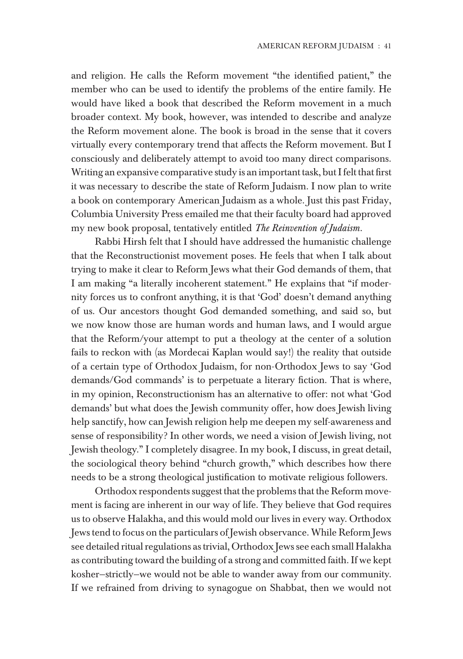and religion. He calls the Reform movement "the identified patient," the member who can be used to identify the problems of the entire family. He would have liked a book that described the Reform movement in a much broader context. My book, however, was intended to describe and analyze the Reform movement alone. The book is broad in the sense that it covers virtually every contemporary trend that affects the Reform movement. But I consciously and deliberately attempt to avoid too many direct comparisons. Writing an expansive comparative study is an important task, but I felt that first it was necessary to describe the state of Reform Judaism. I now plan to write a book on contemporary American Judaism as a whole. Just this past Friday, Columbia University Press emailed me that their faculty board had approved my new book proposal, tentatively entitled *The Reinvention of Judaism.*

Rabbi Hirsh felt that I should have addressed the humanistic challenge that the Reconstructionist movement poses. He feels that when I talk about trying to make it clear to Reform Jews what their God demands of them, that I am making "a literally incoherent statement." He explains that "if modernity forces us to confront anything, it is that 'God' doesn't demand anything of us. Our ancestors thought God demanded something, and said so, but we now know those are human words and human laws, and I would argue that the Reform/your attempt to put a theology at the center of a solution fails to reckon with (as Mordecai Kaplan would say!) the reality that outside of a certain type of Orthodox Judaism, for non-Orthodox Jews to say 'God demands/God commands' is to perpetuate a literary fiction. That is where, in my opinion, Reconstructionism has an alternative to offer: not what 'God demands' but what does the Jewish community offer, how does Jewish living help sanctify, how can Jewish religion help me deepen my self-awareness and sense of responsibility? In other words, we need a vision of Jewish living, not Jewish theology." I completely disagree. In my book, I discuss, in great detail, the sociological theory behind "church growth," which describes how there needs to be a strong theological justification to motivate religious followers.

Orthodox respondents suggest that the problems that the Reform movement is facing are inherent in our way of life. They believe that God requires us to observe Halakha, and this would mold our lives in every way. Orthodox Jews tend to focus on the particulars of Jewish observance. While Reform Jews see detailed ritual regulations as trivial, Orthodox Jews see each small Halakha as contributing toward the building of a strong and committed faith. If we kept kosher—strictly—we would not be able to wander away from our community. If we refrained from driving to synagogue on Shabbat, then we would not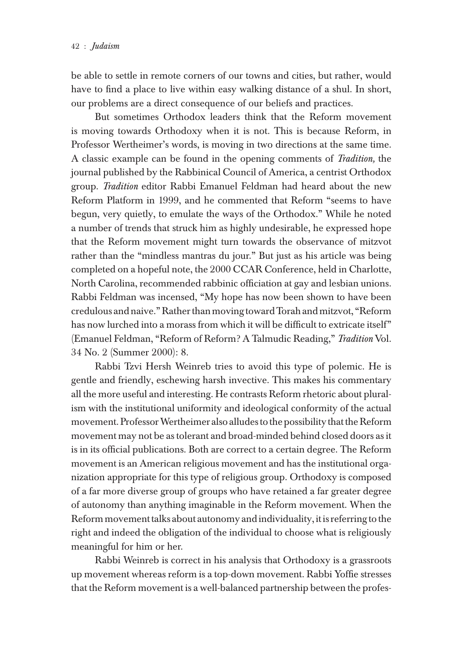be able to settle in remote corners of our towns and cities, but rather, would have to find a place to live within easy walking distance of a shul. In short, our problems are a direct consequence of our beliefs and practices.

But sometimes Orthodox leaders think that the Reform movement is moving towards Orthodoxy when it is not. This is because Reform, in Professor Wertheimer's words, is moving in two directions at the same time. A classic example can be found in the opening comments of *Tradition,* the journal published by the Rabbinical Council of America, a centrist Orthodox group. *Tradition* editor Rabbi Emanuel Feldman had heard about the new Reform Platform in 1999, and he commented that Reform "seems to have begun, very quietly, to emulate the ways of the Orthodox." While he noted a number of trends that struck him as highly undesirable, he expressed hope that the Reform movement might turn towards the observance of mitzvot rather than the "mindless mantras du jour." But just as his article was being completed on a hopeful note, the 2000 CCAR Conference, held in Charlotte, North Carolina, recommended rabbinic officiation at gay and lesbian unions. Rabbi Feldman was incensed, "My hope has now been shown to have been credulous and naive." Rather than moving toward Torah and mitzvot, "Reform has now lurched into a morass from which it will be difficult to extricate itself" (Emanuel Feldman, "Reform of Reform? A Talmudic Reading," *Tradition* Vol. 34 No. 2 (Summer 2000): 8.

Rabbi Tzvi Hersh Weinreb tries to avoid this type of polemic. He is gentle and friendly, eschewing harsh invective. This makes his commentary all the more useful and interesting. He contrasts Reform rhetoric about pluralism with the institutional uniformity and ideological conformity of the actual movement. Professor Wertheimer also alludes to the possibility that the Reform movement may not be as tolerant and broad-minded behind closed doors as it is in its official publications. Both are correct to a certain degree. The Reform movement is an American religious movement and has the institutional organization appropriate for this type of religious group. Orthodoxy is composed of a far more diverse group of groups who have retained a far greater degree of autonomy than anything imaginable in the Reform movement. When the Reform movement talks about autonomy and individuality, it is referring to the right and indeed the obligation of the individual to choose what is religiously meaningful for him or her.

Rabbi Weinreb is correct in his analysis that Orthodoxy is a grassroots up movement whereas reform is a top-down movement. Rabbi Yoffie stresses that the Reform movement is a well-balanced partnership between the profes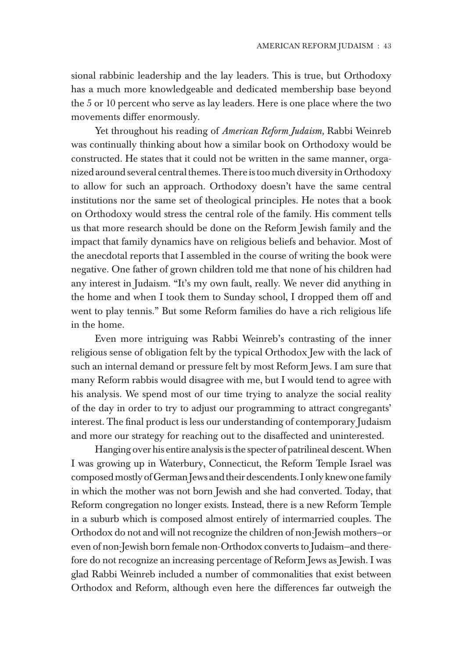sional rabbinic leadership and the lay leaders. This is true, but Orthodoxy has a much more knowledgeable and dedicated membership base beyond the 5 or 10 percent who serve as lay leaders. Here is one place where the two movements differ enormously.

Yet throughout his reading of *American Reform Judaism,* Rabbi Weinreb was continually thinking about how a similar book on Orthodoxy would be constructed. He states that it could not be written in the same manner, organized around several central themes. There is too much diversity in Orthodoxy to allow for such an approach. Orthodoxy doesn't have the same central institutions nor the same set of theological principles. He notes that a book on Orthodoxy would stress the central role of the family. His comment tells us that more research should be done on the Reform Jewish family and the impact that family dynamics have on religious beliefs and behavior. Most of the anecdotal reports that I assembled in the course of writing the book were negative. One father of grown children told me that none of his children had any interest in Judaism. "It's my own fault, really. We never did anything in the home and when I took them to Sunday school, I dropped them off and went to play tennis." But some Reform families do have a rich religious life in the home.

Even more intriguing was Rabbi Weinreb's contrasting of the inner religious sense of obligation felt by the typical Orthodox Jew with the lack of such an internal demand or pressure felt by most Reform Jews. I am sure that many Reform rabbis would disagree with me, but I would tend to agree with his analysis. We spend most of our time trying to analyze the social reality of the day in order to try to adjust our programming to attract congregants' interest. The final product is less our understanding of contemporary Judaism and more our strategy for reaching out to the disaffected and uninterested.

Hanging over his entire analysis is the specter of patrilineal descent. When I was growing up in Waterbury, Connecticut, the Reform Temple Israel was composed mostly of German Jews and their descendents. I only knew one family in which the mother was not born Jewish and she had converted. Today, that Reform congregation no longer exists. Instead, there is a new Reform Temple in a suburb which is composed almost entirely of intermarried couples. The Orthodox do not and will not recognize the children of non-Jewish mothers—or even of non-Jewish born female non-Orthodox converts to Judaism—and therefore do not recognize an increasing percentage of Reform Jews as Jewish. I was glad Rabbi Weinreb included a number of commonalities that exist between Orthodox and Reform, although even here the differences far outweigh the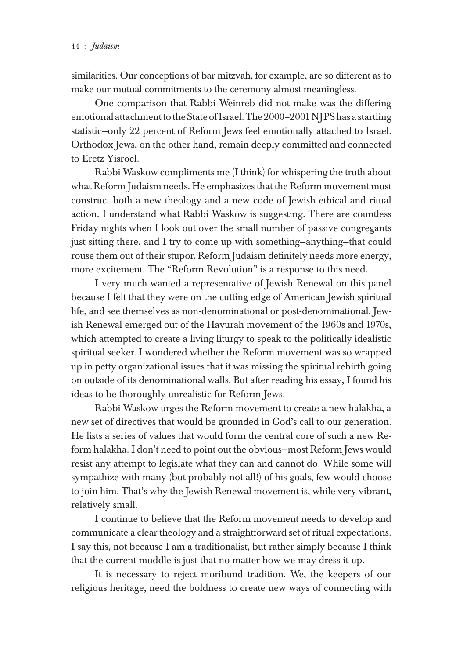similarities. Our conceptions of bar mitzvah, for example, are so different as to make our mutual commitments to the ceremony almost meaningless.

One comparison that Rabbi Weinreb did not make was the differing emotional attachment to the State of Israel. The 2000–2001 NJPS has a startling statistic—only 22 percent of Reform Jews feel emotionally attached to Israel. Orthodox Jews, on the other hand, remain deeply committed and connected to Eretz Yisroel.

Rabbi Waskow compliments me (I think) for whispering the truth about what Reform Judaism needs. He emphasizes that the Reform movement must construct both a new theology and a new code of Jewish ethical and ritual action. I understand what Rabbi Waskow is suggesting. There are countless Friday nights when I look out over the small number of passive congregants just sitting there, and I try to come up with something—anything—that could rouse them out of their stupor. Reform Judaism definitely needs more energy, more excitement. The "Reform Revolution" is a response to this need.

I very much wanted a representative of Jewish Renewal on this panel because I felt that they were on the cutting edge of American Jewish spiritual life, and see themselves as non-denominational or post-denominational. Jewish Renewal emerged out of the Havurah movement of the 1960s and 1970s, which attempted to create a living liturgy to speak to the politically idealistic spiritual seeker. I wondered whether the Reform movement was so wrapped up in petty organizational issues that it was missing the spiritual rebirth going on outside of its denominational walls. But after reading his essay, I found his ideas to be thoroughly unrealistic for Reform Jews.

Rabbi Waskow urges the Reform movement to create a new halakha, a new set of directives that would be grounded in God's call to our generation. He lists a series of values that would form the central core of such a new Reform halakha. I don't need to point out the obvious—most Reform Jews would resist any attempt to legislate what they can and cannot do. While some will sympathize with many (but probably not all!) of his goals, few would choose to join him. That's why the Jewish Renewal movement is, while very vibrant, relatively small.

I continue to believe that the Reform movement needs to develop and communicate a clear theology and a straightforward set of ritual expectations. I say this, not because I am a traditionalist, but rather simply because I think that the current muddle is just that no matter how we may dress it up.

It is necessary to reject moribund tradition. We, the keepers of our religious heritage, need the boldness to create new ways of connecting with